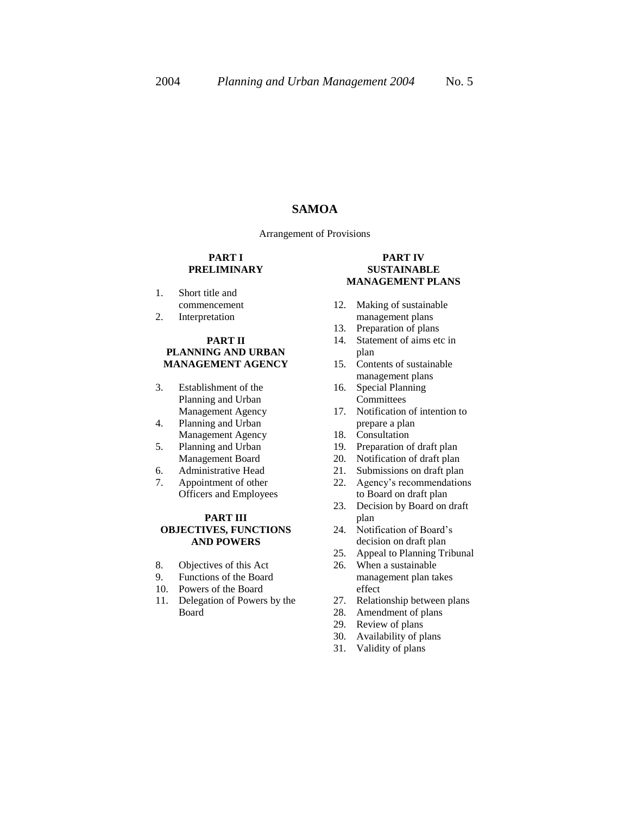# **SAMOA**

Arrangement of Provisions

#### **PART I PRELIMINARY**

- 1. Short title and commencement
- 2. Interpretation

#### **PART II PLANNING AND URBAN MANAGEMENT AGENCY**

- 3. Establishment of the Planning and Urban Management Agency
- 4. Planning and Urban Management Agency
- 5. Planning and Urban Management Board
- 6. Administrative Head
- 7. Appointment of other Officers and Employees

#### **PART III OBJECTIVES, FUNCTIONS AND POWERS**

- 8. Objectives of this Act
- 9. Functions of the Board
- 10. Powers of the Board
- 11. Delegation of Powers by the Board

#### **PART IV SUSTAINABLE MANAGEMENT PLANS**

- 12. Making of sustainable management plans
- 13. Preparation of plans
- 14. Statement of aims etc in plan
- 15. Contents of sustainable management plans
- 16. Special Planning **Committees**
- 17. Notification of intention to prepare a plan
- 18. Consultation
- 19. Preparation of draft plan
- 20. Notification of draft plan
- 21. Submissions on draft plan
- 22. Agency's recommendations to Board on draft plan
- 23. Decision by Board on draft plan
- 24. Notification of Board's decision on draft plan
- 25. Appeal to Planning Tribunal
- 26. When a sustainable management plan takes effect
- 27. Relationship between plans
- 28. Amendment of plans
- 29. Review of plans
- 30. Availability of plans
- 31. Validity of plans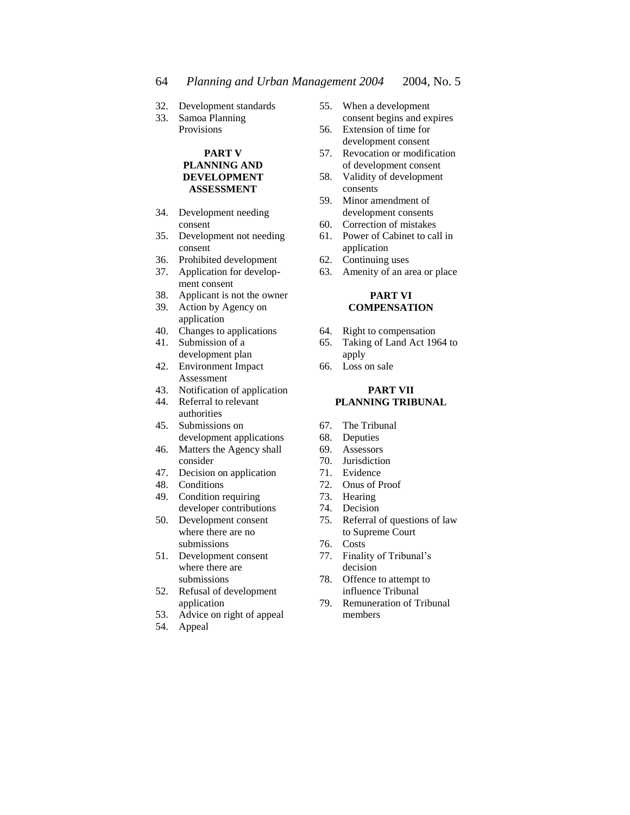- 32. Development standards
- 33. Samoa Planning Provisions

## **PART V PLANNING AND DEVELOPMENT ASSESSMENT**

- 34. Development needing consent
- 35. Development not needing consent
- 36. Prohibited development
- 37. Application for development consent
- 38. Applicant is not the owner
- 39. Action by Agency on application
- 40. Changes to applications
- 41. Submission of a development plan
- 42. Environment Impact Assessment
- 43. Notification of application
- 44. Referral to relevant authorities
- 45. Submissions on development applications
- 46. Matters the Agency shall consider
- 47. Decision on application
- 48. Conditions
- 49. Condition requiring developer contributions
- 50. Development consent where there are no submissions
- 51. Development consent where there are submissions
- 52. Refusal of development application
- 53. Advice on right of appeal
- 54. Appeal
- 55. When a development consent begins and expires
- 56. Extension of time for development consent
- 57. Revocation or modification of development consent
- 58. Validity of development consents
- 59. Minor amendment of development consents
- 60. Correction of mistakes
- 61. Power of Cabinet to call in application
- 62. Continuing uses
- 63. Amenity of an area or place

#### **PART VI COMPENSATION**

- 64. Right to compensation
- 65. Taking of Land Act 1964 to apply
- 66. Loss on sale

## **PART VII PLANNING TRIBUNAL**

- 67. The Tribunal
- 68. Deputies
- 69. Assessors
- 70. Jurisdiction 71. Evidence
- 72. Onus of Proof
- 73. Hearing
- 74. Decision
- 
- 75. Referral of questions of law to Supreme Court
- 76. Costs
- 77. Finality of Tribunal's decision
- 78. Offence to attempt to influence Tribunal
- 79. Remuneration of Tribunal members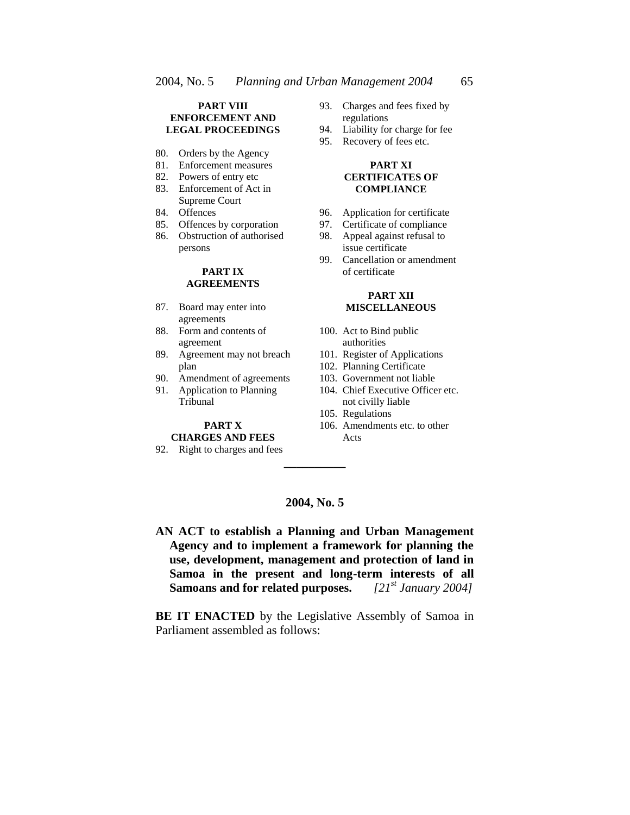## **PART VIII ENFORCEMENT AND LEGAL PROCEEDINGS**

- 80. Orders by the Agency
- 81. Enforcement measures
- 82. Powers of entry etc
- 83. Enforcement of Act in Supreme Court
- 84. Offences
- 85. Offences by corporation
- 86. Obstruction of authorised persons

## **PART IX AGREEMENTS**

- 87. Board may enter into agreements
- 88. Form and contents of agreement
- 89. Agreement may not breach plan
- 90. Amendment of agreements
- 91. Application to Planning Tribunal

## **PART X CHARGES AND FEES**

92. Right to charges and fees

- 93. Charges and fees fixed by regulations
- 94. Liability for charge for fee
- 95. Recovery of fees etc.

#### **PART XI CERTIFICATES OF COMPLIANCE**

- 96. Application for certificate
- 97. Certificate of compliance
- 98. Appeal against refusal to issue certificate
- 99. Cancellation or amendment of certificate

#### **PART XII MISCELLANEOUS**

- 100. Act to Bind public authorities
- 101. Register of Applications
- 102. Planning Certificate
- 103. Government not liable
- 104. Chief Executive Officer etc. not civilly liable
- 105. Regulations
- 106. Amendments etc. to other Acts

## **2004, No. 5**

**\_\_\_\_\_\_\_\_\_\_**

**AN ACT to establish a Planning and Urban Management Agency and to implement a framework for planning the use, development, management and protection of land in**  Samoa in the present and long-term interests of all Samoans and for related purposes. [21<sup>st</sup> January 2004] **Samoans and for related purposes.** 

**BE IT ENACTED** by the Legislative Assembly of Samoa in Parliament assembled as follows: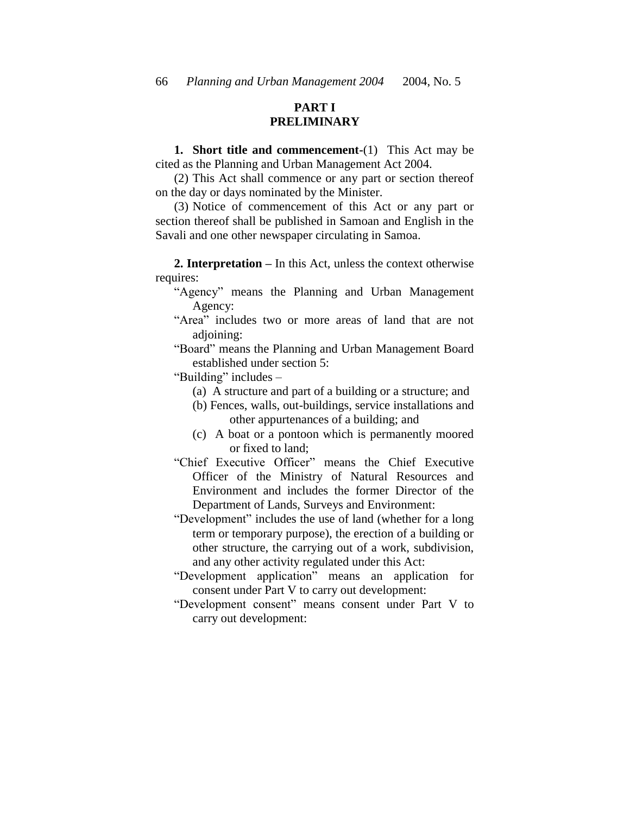# **PART I PRELIMINARY**

**1. Short title and commencement-**(1)This Act may be cited as the Planning and Urban Management Act 2004.

(2) This Act shall commence or any part or section thereof on the day or days nominated by the Minister.

(3) Notice of commencement of this Act or any part or section thereof shall be published in Samoan and English in the Savali and one other newspaper circulating in Samoa.

**2. Interpretation –** In this Act, unless the context otherwise requires:

"Agency" means the Planning and Urban Management Agency:

"Area" includes two or more areas of land that are not adjoining:

"Board" means the Planning and Urban Management Board established under section 5:

"Building" includes –

- (a) A structure and part of a building or a structure; and
- (b) Fences, walls, out-buildings, service installations and other appurtenances of a building; and
- (c) A boat or a pontoon which is permanently moored or fixed to land;
- "Chief Executive Officer" means the Chief Executive Officer of the Ministry of Natural Resources and Environment and includes the former Director of the Department of Lands, Surveys and Environment:
- "Development" includes the use of land (whether for a long term or temporary purpose), the erection of a building or other structure, the carrying out of a work, subdivision, and any other activity regulated under this Act:

"Development application" means an application for consent under Part V to carry out development:

"Development consent" means consent under Part V to carry out development: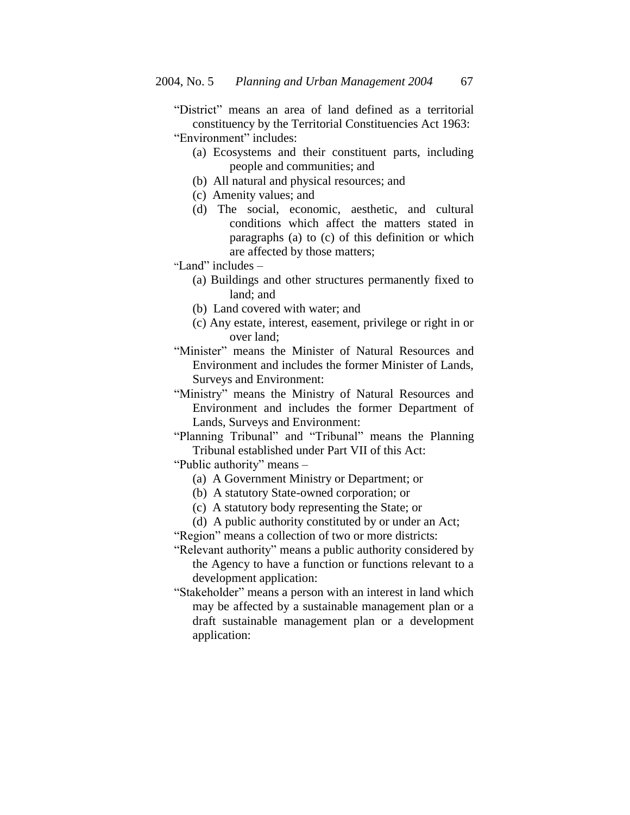"District" means an area of land defined as a territorial constituency by the Territorial Constituencies Act 1963:

"Environment" includes:

- (a) Ecosystems and their constituent parts, including people and communities; and
- (b) All natural and physical resources; and
- (c) Amenity values; and
- (d) The social, economic, aesthetic, and cultural conditions which affect the matters stated in paragraphs (a) to (c) of this definition or which are affected by those matters;

"Land" includes –

- (a) Buildings and other structures permanently fixed to land; and
- (b) Land covered with water; and
- (c) Any estate, interest, easement, privilege or right in or over land;
- "Minister" means the Minister of Natural Resources and Environment and includes the former Minister of Lands, Surveys and Environment:
- "Ministry" means the Ministry of Natural Resources and Environment and includes the former Department of Lands, Surveys and Environment:

"Planning Tribunal" and "Tribunal" means the Planning Tribunal established under Part VII of this Act:

"Public authority" means –

- (a) A Government Ministry or Department; or
- (b) A statutory State-owned corporation; or
- (c) A statutory body representing the State; or
- (d) A public authority constituted by or under an Act;

"Region" means a collection of two or more districts:

- "Relevant authority" means a public authority considered by the Agency to have a function or functions relevant to a development application:
- "Stakeholder" means a person with an interest in land which may be affected by a sustainable management plan or a draft sustainable management plan or a development application: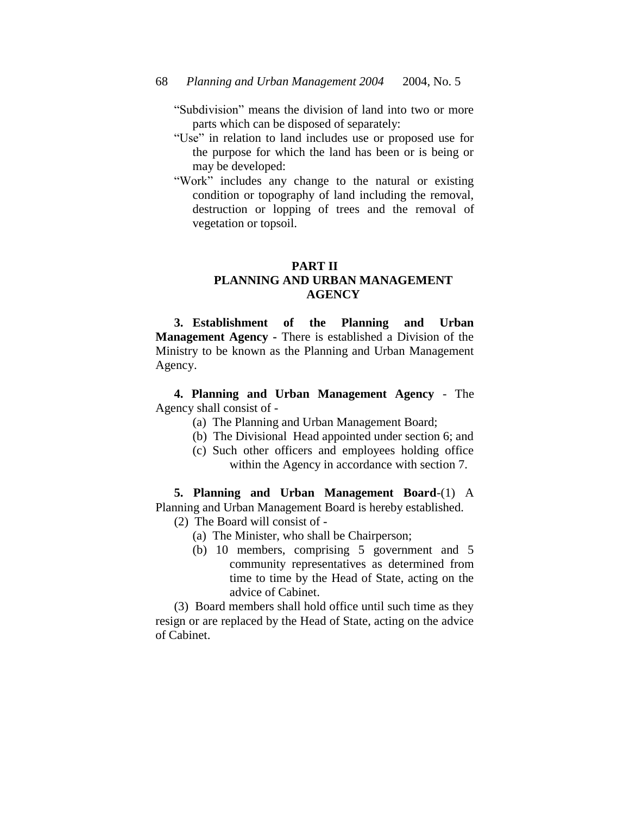"Subdivision" means the division of land into two or more parts which can be disposed of separately:

- "Use" in relation to land includes use or proposed use for the purpose for which the land has been or is being or may be developed:
- "Work" includes any change to the natural or existing condition or topography of land including the removal, destruction or lopping of trees and the removal of vegetation or topsoil.

# **PART II PLANNING AND URBAN MANAGEMENT AGENCY**

**3. Establishment of the Planning and Urban Management Agency -** There is established a Division of the Ministry to be known as the Planning and Urban Management Agency.

**4. Planning and Urban Management Agency** - The Agency shall consist of -

- (a) The Planning and Urban Management Board;
- (b) The Divisional Head appointed under section 6; and
- (c) Such other officers and employees holding office within the Agency in accordance with section 7.

**5. Planning and Urban Management Board**-(1) A Planning and Urban Management Board is hereby established. (2)The Board will consist of -

- - (a) The Minister, who shall be Chairperson;
	- (b) 10 members, comprising 5 government and 5 community representatives as determined from time to time by the Head of State, acting on the advice of Cabinet.

(3) Board members shall hold office until such time as they resign or are replaced by the Head of State, acting on the advice of Cabinet.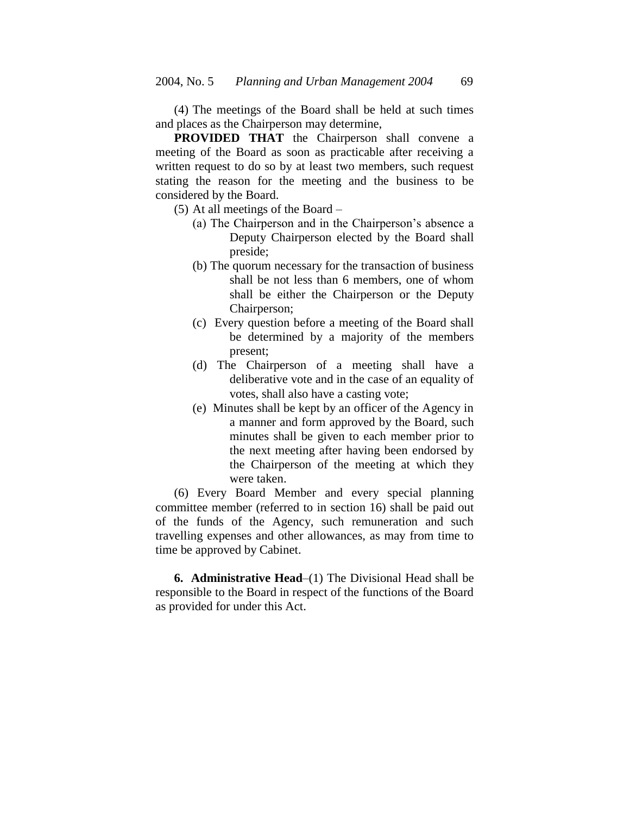(4) The meetings of the Board shall be held at such times and places as the Chairperson may determine,

**PROVIDED THAT** the Chairperson shall convene a meeting of the Board as soon as practicable after receiving a written request to do so by at least two members, such request stating the reason for the meeting and the business to be considered by the Board.

- (5) At all meetings of the Board
	- (a) The Chairperson and in the Chairperson's absence a Deputy Chairperson elected by the Board shall preside;
	- (b) The quorum necessary for the transaction of business shall be not less than 6 members, one of whom shall be either the Chairperson or the Deputy Chairperson;
	- (c) Every question before a meeting of the Board shall be determined by a majority of the members present;
	- (d) The Chairperson of a meeting shall have a deliberative vote and in the case of an equality of votes, shall also have a casting vote;
	- (e) Minutes shall be kept by an officer of the Agency in a manner and form approved by the Board, such minutes shall be given to each member prior to the next meeting after having been endorsed by the Chairperson of the meeting at which they were taken.

(6) Every Board Member and every special planning committee member (referred to in section 16) shall be paid out of the funds of the Agency, such remuneration and such travelling expenses and other allowances, as may from time to time be approved by Cabinet.

**6. Administrative Head**–(1) The Divisional Head shall be responsible to the Board in respect of the functions of the Board as provided for under this Act.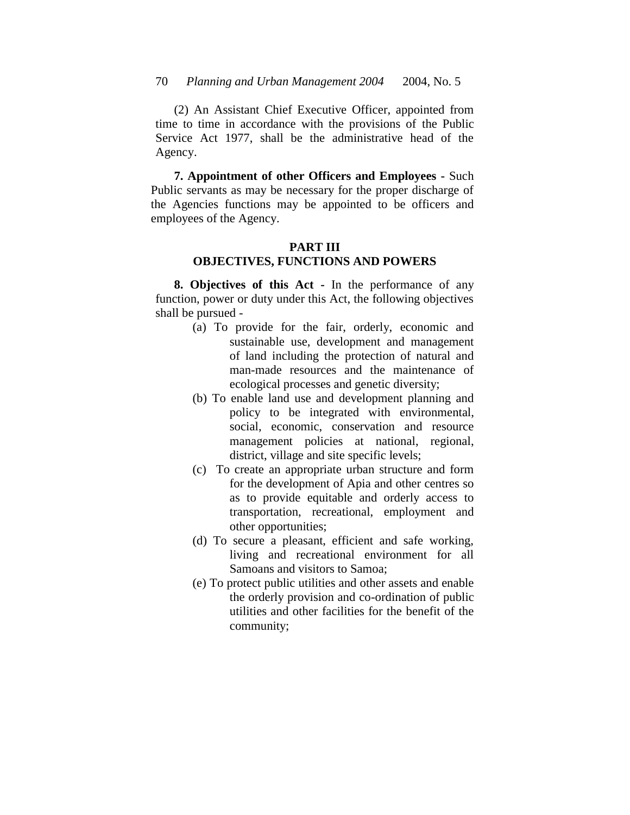(2) An Assistant Chief Executive Officer, appointed from time to time in accordance with the provisions of the Public Service Act 1977, shall be the administrative head of the Agency.

**7. Appointment of other Officers and Employees -** Such Public servants as may be necessary for the proper discharge of the Agencies functions may be appointed to be officers and employees of the Agency.

## **PART III OBJECTIVES, FUNCTIONS AND POWERS**

**8. Objectives of this Act -** In the performance of any function, power or duty under this Act, the following objectives shall be pursued -

- (a) To provide for the fair, orderly, economic and sustainable use, development and management of land including the protection of natural and man-made resources and the maintenance of ecological processes and genetic diversity;
- (b) To enable land use and development planning and policy to be integrated with environmental, social, economic, conservation and resource management policies at national, regional, district, village and site specific levels;
- (c) To create an appropriate urban structure and form for the development of Apia and other centres so as to provide equitable and orderly access to transportation, recreational, employment and other opportunities;
- (d) To secure a pleasant, efficient and safe working, living and recreational environment for all Samoans and visitors to Samoa;
- (e) To protect public utilities and other assets and enable the orderly provision and co-ordination of public utilities and other facilities for the benefit of the community;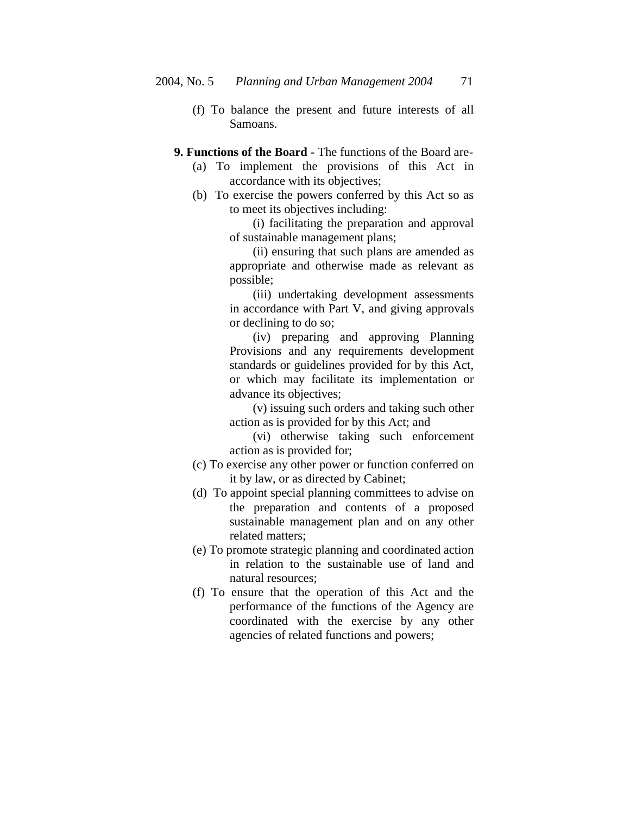- (f) To balance the present and future interests of all Samoans.
- **9. Functions of the Board -** The functions of the Board are-
	- (a) To implement the provisions of this Act in accordance with its objectives;
	- (b) To exercise the powers conferred by this Act so as to meet its objectives including:

(i) facilitating the preparation and approval of sustainable management plans;

(ii) ensuring that such plans are amended as appropriate and otherwise made as relevant as possible;

(iii) undertaking development assessments in accordance with Part V, and giving approvals or declining to do so;

(iv) preparing and approving Planning Provisions and any requirements development standards or guidelines provided for by this Act, or which may facilitate its implementation or advance its objectives;

(v) issuing such orders and taking such other action as is provided for by this Act; and

(vi) otherwise taking such enforcement action as is provided for;

- (c) To exercise any other power or function conferred on it by law, or as directed by Cabinet;
- (d) To appoint special planning committees to advise on the preparation and contents of a proposed sustainable management plan and on any other related matters;
- (e) To promote strategic planning and coordinated action in relation to the sustainable use of land and natural resources;
- (f) To ensure that the operation of this Act and the performance of the functions of the Agency are coordinated with the exercise by any other agencies of related functions and powers;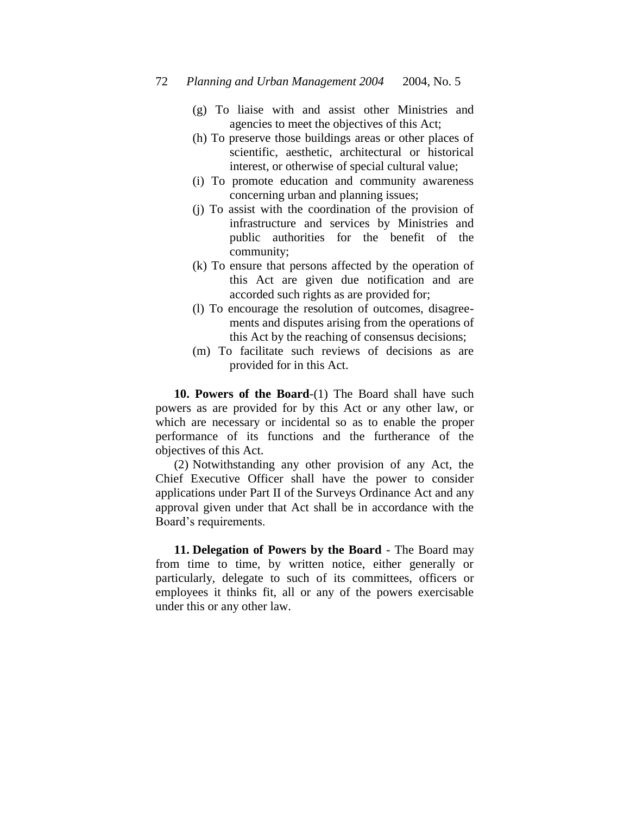- (g) To liaise with and assist other Ministries and agencies to meet the objectives of this Act;
- (h) To preserve those buildings areas or other places of scientific, aesthetic, architectural or historical interest, or otherwise of special cultural value;
- (i) To promote education and community awareness concerning urban and planning issues;
- (j) To assist with the coordination of the provision of infrastructure and services by Ministries and public authorities for the benefit of the community;
- (k) To ensure that persons affected by the operation of this Act are given due notification and are accorded such rights as are provided for;
- (l) To encourage the resolution of outcomes, disagreements and disputes arising from the operations of this Act by the reaching of consensus decisions;
- (m) To facilitate such reviews of decisions as are provided for in this Act.

**10. Powers of the Board**-(1) The Board shall have such powers as are provided for by this Act or any other law, or which are necessary or incidental so as to enable the proper performance of its functions and the furtherance of the objectives of this Act.

(2) Notwithstanding any other provision of any Act, the Chief Executive Officer shall have the power to consider applications under Part II of the Surveys Ordinance Act and any approval given under that Act shall be in accordance with the Board's requirements.

**11. Delegation of Powers by the Board** - The Board may from time to time, by written notice, either generally or particularly, delegate to such of its committees, officers or employees it thinks fit, all or any of the powers exercisable under this or any other law.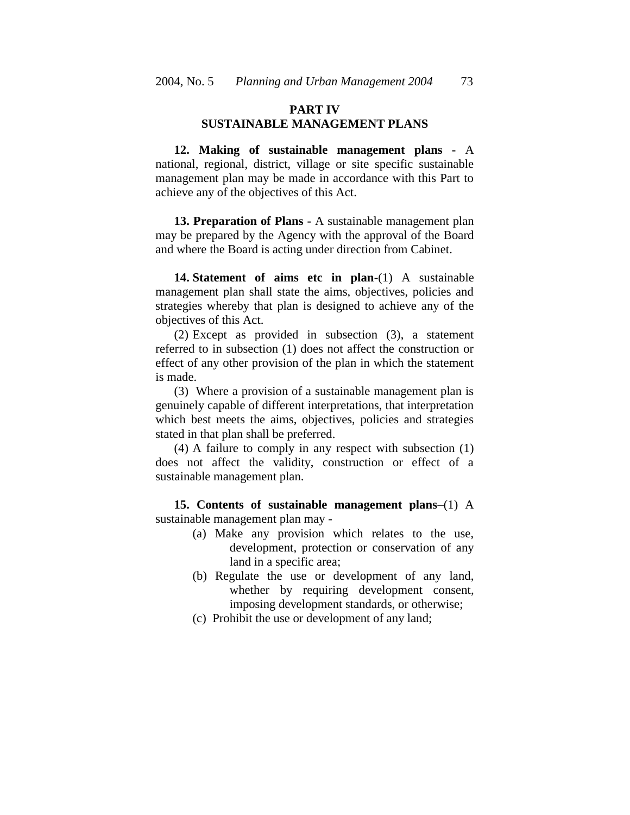# **PART IV SUSTAINABLE MANAGEMENT PLANS**

**12. Making of sustainable management plans -** A national, regional, district, village or site specific sustainable management plan may be made in accordance with this Part to achieve any of the objectives of this Act.

**13. Preparation of Plans -** A sustainable management plan may be prepared by the Agency with the approval of the Board and where the Board is acting under direction from Cabinet.

**14. Statement of aims etc in plan-**(1) A sustainable management plan shall state the aims, objectives, policies and strategies whereby that plan is designed to achieve any of the objectives of this Act.

(2) Except as provided in subsection (3), a statement referred to in subsection (1) does not affect the construction or effect of any other provision of the plan in which the statement is made.

(3) Where a provision of a sustainable management plan is genuinely capable of different interpretations, that interpretation which best meets the aims, objectives, policies and strategies stated in that plan shall be preferred.

(4) A failure to comply in any respect with subsection (1) does not affect the validity, construction or effect of a sustainable management plan.

**15. Contents of sustainable management plans**–(1) A sustainable management plan may -

- (a) Make any provision which relates to the use, development, protection or conservation of any land in a specific area;
- (b) Regulate the use or development of any land, whether by requiring development consent, imposing development standards, or otherwise;
- (c) Prohibit the use or development of any land;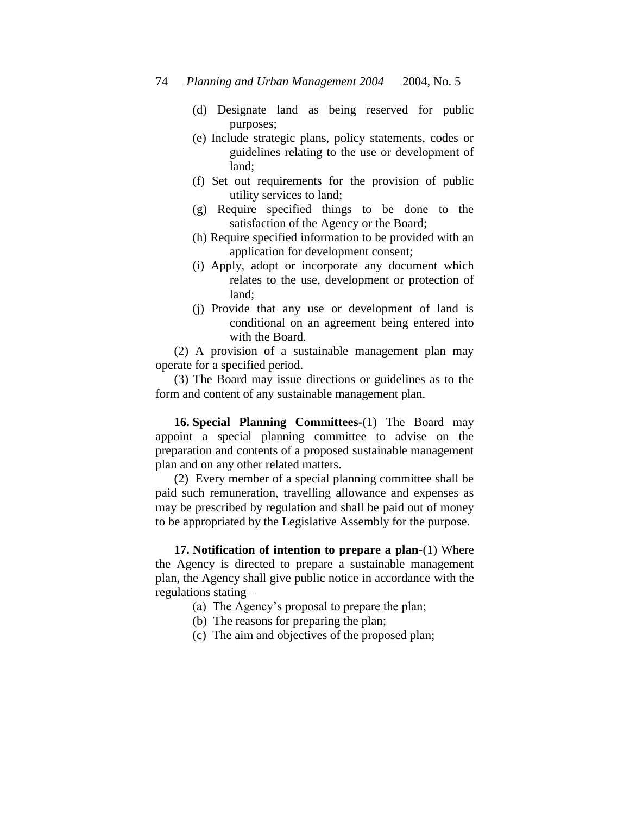- (d) Designate land as being reserved for public purposes;
- (e) Include strategic plans, policy statements, codes or guidelines relating to the use or development of land;
- (f) Set out requirements for the provision of public utility services to land;
- (g) Require specified things to be done to the satisfaction of the Agency or the Board;
- (h) Require specified information to be provided with an application for development consent;
- (i) Apply, adopt or incorporate any document which relates to the use, development or protection of land;
- (j) Provide that any use or development of land is conditional on an agreement being entered into with the Board.

(2) A provision of a sustainable management plan may operate for a specified period.

(3) The Board may issue directions or guidelines as to the form and content of any sustainable management plan.

**16. Special Planning Committees-**(1) The Board may appoint a special planning committee to advise on the preparation and contents of a proposed sustainable management plan and on any other related matters.

(2) Every member of a special planning committee shall be paid such remuneration, travelling allowance and expenses as may be prescribed by regulation and shall be paid out of money to be appropriated by the Legislative Assembly for the purpose.

**17. Notification of intention to prepare a plan-**(1) Where the Agency is directed to prepare a sustainable management plan, the Agency shall give public notice in accordance with the regulations stating –

- (a) The Agency's proposal to prepare the plan;
- (b) The reasons for preparing the plan;
- (c) The aim and objectives of the proposed plan;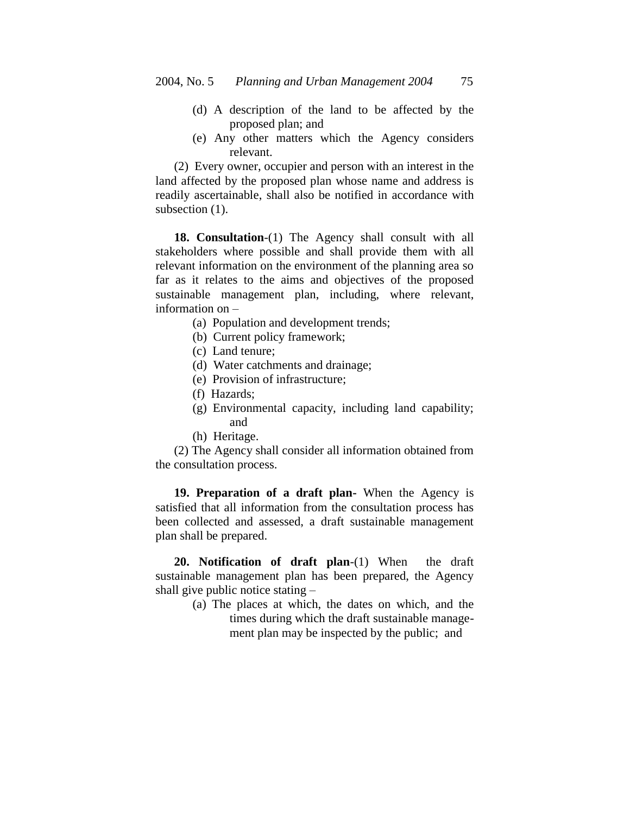- (d) A description of the land to be affected by the proposed plan; and
- (e) Any other matters which the Agency considers relevant.

(2) Every owner, occupier and person with an interest in the land affected by the proposed plan whose name and address is readily ascertainable, shall also be notified in accordance with subsection (1).

**18. Consultation**-(1) The Agency shall consult with all stakeholders where possible and shall provide them with all relevant information on the environment of the planning area so far as it relates to the aims and objectives of the proposed sustainable management plan, including, where relevant, information on –

(a) Population and development trends;

- (b) Current policy framework;
- (c) Land tenure;
- (d) Water catchments and drainage;
- (e) Provision of infrastructure;
- (f) Hazards;
- (g) Environmental capacity, including land capability; and
- (h) Heritage.

(2) The Agency shall consider all information obtained from the consultation process.

**19. Preparation of a draft plan-** When the Agency is satisfied that all information from the consultation process has been collected and assessed, a draft sustainable management plan shall be prepared.

**20. Notification of draft plan**-(1) When the draft sustainable management plan has been prepared, the Agency shall give public notice stating –

> (a) The places at which, the dates on which, and the times during which the draft sustainable management plan may be inspected by the public; and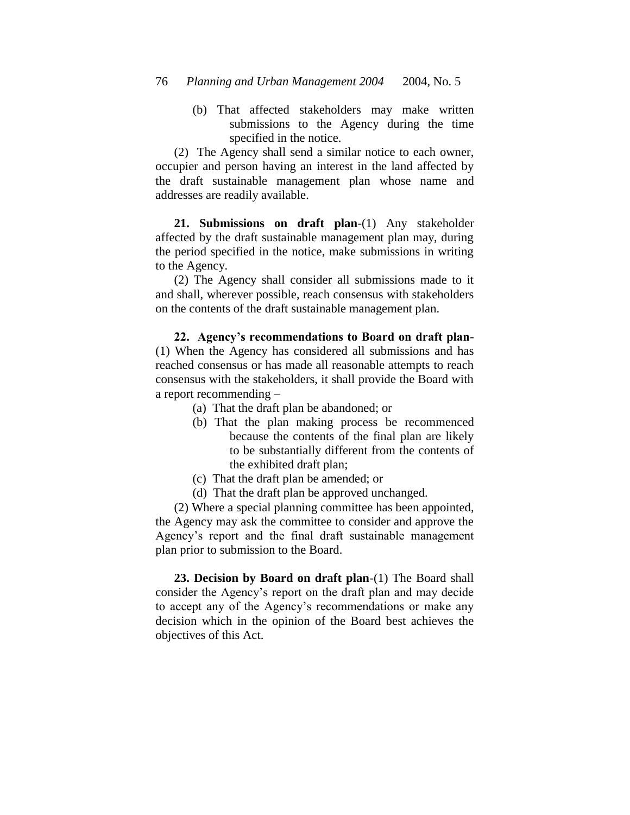(b) That affected stakeholders may make written submissions to the Agency during the time specified in the notice.

(2) The Agency shall send a similar notice to each owner, occupier and person having an interest in the land affected by the draft sustainable management plan whose name and addresses are readily available.

**21. Submissions on draft plan**-(1) Any stakeholder affected by the draft sustainable management plan may, during the period specified in the notice, make submissions in writing to the Agency.

(2) The Agency shall consider all submissions made to it and shall, wherever possible, reach consensus with stakeholders on the contents of the draft sustainable management plan.

**22. Agency's recommendations to Board on draft plan**- (1) When the Agency has considered all submissions and has reached consensus or has made all reasonable attempts to reach consensus with the stakeholders, it shall provide the Board with a report recommending –

- (a) That the draft plan be abandoned; or
- (b) That the plan making process be recommenced because the contents of the final plan are likely to be substantially different from the contents of the exhibited draft plan;
- (c) That the draft plan be amended; or
- (d) That the draft plan be approved unchanged.

(2) Where a special planning committee has been appointed, the Agency may ask the committee to consider and approve the Agency's report and the final draft sustainable management plan prior to submission to the Board.

**23. Decision by Board on draft plan**-(1) The Board shall consider the Agency's report on the draft plan and may decide to accept any of the Agency's recommendations or make any decision which in the opinion of the Board best achieves the objectives of this Act.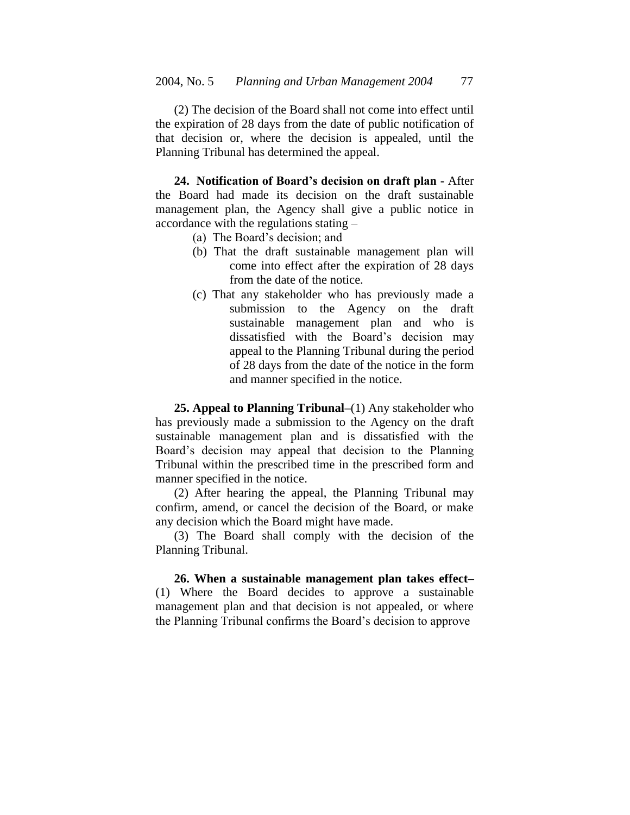(2) The decision of the Board shall not come into effect until the expiration of 28 days from the date of public notification of that decision or, where the decision is appealed, until the Planning Tribunal has determined the appeal.

**24. Notification of Board's decision on draft plan -** After the Board had made its decision on the draft sustainable management plan, the Agency shall give a public notice in accordance with the regulations stating –

- (a) The Board's decision; and
- (b) That the draft sustainable management plan will come into effect after the expiration of 28 days from the date of the notice.
- (c) That any stakeholder who has previously made a submission to the Agency on the draft sustainable management plan and who is dissatisfied with the Board's decision may appeal to the Planning Tribunal during the period of 28 days from the date of the notice in the form and manner specified in the notice.

**25. Appeal to Planning Tribunal–**(1) Any stakeholder who has previously made a submission to the Agency on the draft sustainable management plan and is dissatisfied with the Board's decision may appeal that decision to the Planning Tribunal within the prescribed time in the prescribed form and manner specified in the notice.

(2) After hearing the appeal, the Planning Tribunal may confirm, amend, or cancel the decision of the Board, or make any decision which the Board might have made.

(3) The Board shall comply with the decision of the Planning Tribunal.

**26. When a sustainable management plan takes effect–** (1) Where the Board decides to approve a sustainable management plan and that decision is not appealed, or where the Planning Tribunal confirms the Board's decision to approve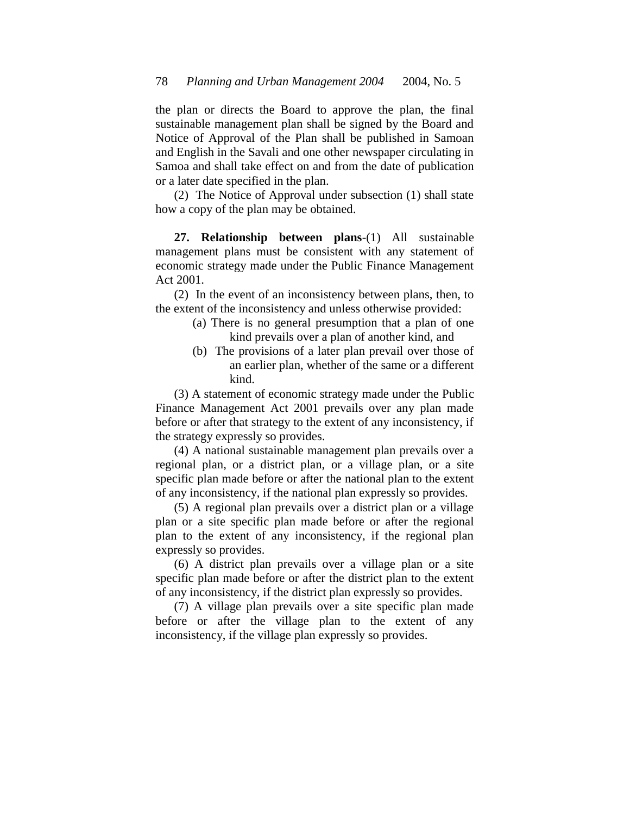the plan or directs the Board to approve the plan, the final sustainable management plan shall be signed by the Board and Notice of Approval of the Plan shall be published in Samoan and English in the Savali and one other newspaper circulating in Samoa and shall take effect on and from the date of publication or a later date specified in the plan.

(2) The Notice of Approval under subsection (1) shall state how a copy of the plan may be obtained.

**27. Relationship between plans**-(1) All sustainable management plans must be consistent with any statement of economic strategy made under the Public Finance Management Act 2001.

(2) In the event of an inconsistency between plans, then, to the extent of the inconsistency and unless otherwise provided:

- (a) There is no general presumption that a plan of one kind prevails over a plan of another kind, and
- (b) The provisions of a later plan prevail over those of an earlier plan, whether of the same or a different kind.

(3) A statement of economic strategy made under the Public Finance Management Act 2001 prevails over any plan made before or after that strategy to the extent of any inconsistency, if the strategy expressly so provides.

(4) A national sustainable management plan prevails over a regional plan, or a district plan, or a village plan, or a site specific plan made before or after the national plan to the extent of any inconsistency, if the national plan expressly so provides.

(5) A regional plan prevails over a district plan or a village plan or a site specific plan made before or after the regional plan to the extent of any inconsistency, if the regional plan expressly so provides.

(6) A district plan prevails over a village plan or a site specific plan made before or after the district plan to the extent of any inconsistency, if the district plan expressly so provides.

(7) A village plan prevails over a site specific plan made before or after the village plan to the extent of any inconsistency, if the village plan expressly so provides.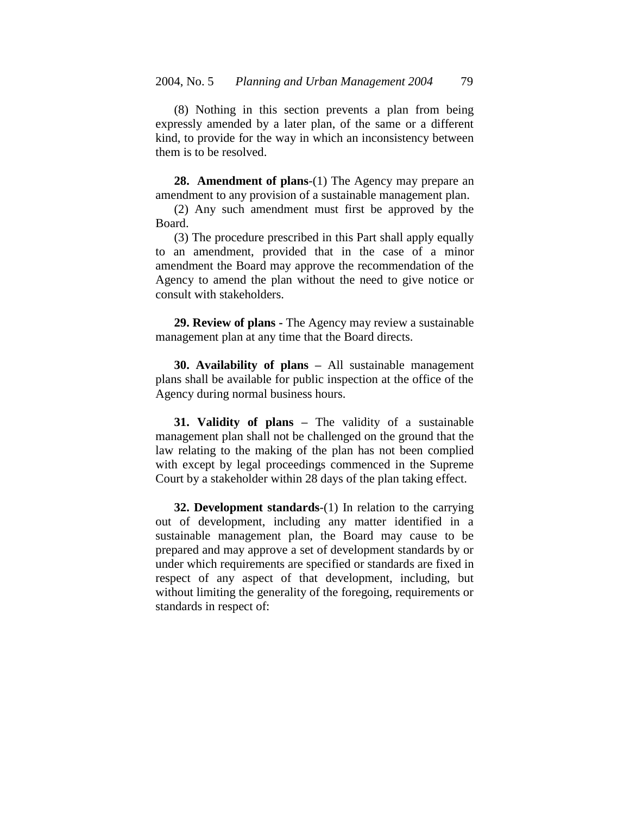(8) Nothing in this section prevents a plan from being expressly amended by a later plan, of the same or a different kind, to provide for the way in which an inconsistency between them is to be resolved.

**28. Amendment of plans**-(1) The Agency may prepare an amendment to any provision of a sustainable management plan.

(2) Any such amendment must first be approved by the Board.

(3) The procedure prescribed in this Part shall apply equally to an amendment, provided that in the case of a minor amendment the Board may approve the recommendation of the Agency to amend the plan without the need to give notice or consult with stakeholders.

**29. Review of plans -** The Agency may review a sustainable management plan at any time that the Board directs.

**30. Availability of plans –** All sustainable management plans shall be available for public inspection at the office of the Agency during normal business hours.

**31. Validity of plans –** The validity of a sustainable management plan shall not be challenged on the ground that the law relating to the making of the plan has not been complied with except by legal proceedings commenced in the Supreme Court by a stakeholder within 28 days of the plan taking effect.

**32. Development standards**-(1) In relation to the carrying out of development, including any matter identified in a sustainable management plan, the Board may cause to be prepared and may approve a set of development standards by or under which requirements are specified or standards are fixed in respect of any aspect of that development, including, but without limiting the generality of the foregoing, requirements or standards in respect of: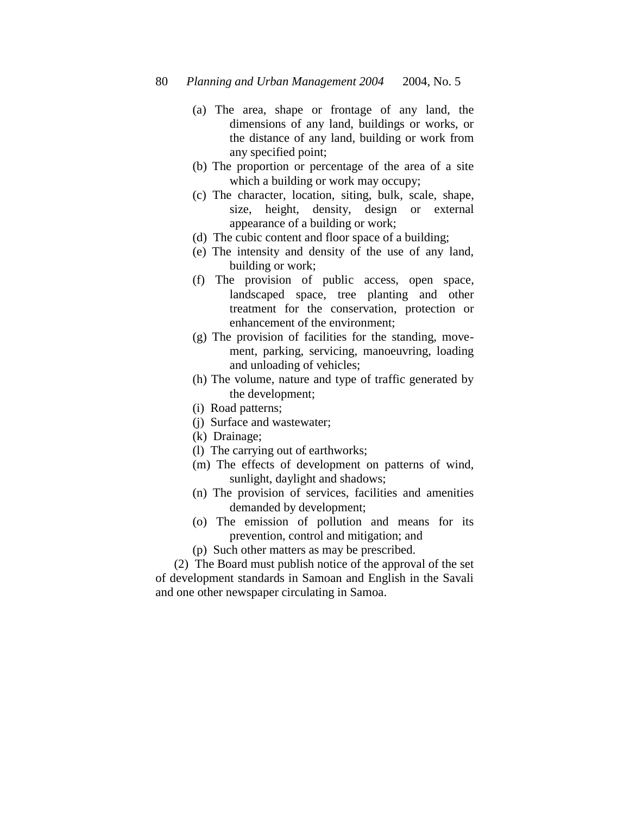- (a) The area, shape or frontage of any land, the dimensions of any land, buildings or works, or the distance of any land, building or work from any specified point;
- (b) The proportion or percentage of the area of a site which a building or work may occupy;
- (c) The character, location, siting, bulk, scale, shape, size, height, density, design or external appearance of a building or work;
- (d) The cubic content and floor space of a building;
- (e) The intensity and density of the use of any land, building or work;
- (f) The provision of public access, open space, landscaped space, tree planting and other treatment for the conservation, protection or enhancement of the environment;
- (g) The provision of facilities for the standing, movement, parking, servicing, manoeuvring, loading and unloading of vehicles;
- (h) The volume, nature and type of traffic generated by the development;
- (i) Road patterns;
- (j) Surface and wastewater;
- (k) Drainage;
- (l) The carrying out of earthworks;
- (m) The effects of development on patterns of wind, sunlight, daylight and shadows;
- (n) The provision of services, facilities and amenities demanded by development;
- (o) The emission of pollution and means for its prevention, control and mitigation; and
- (p) Such other matters as may be prescribed.

(2) The Board must publish notice of the approval of the set of development standards in Samoan and English in the Savali and one other newspaper circulating in Samoa.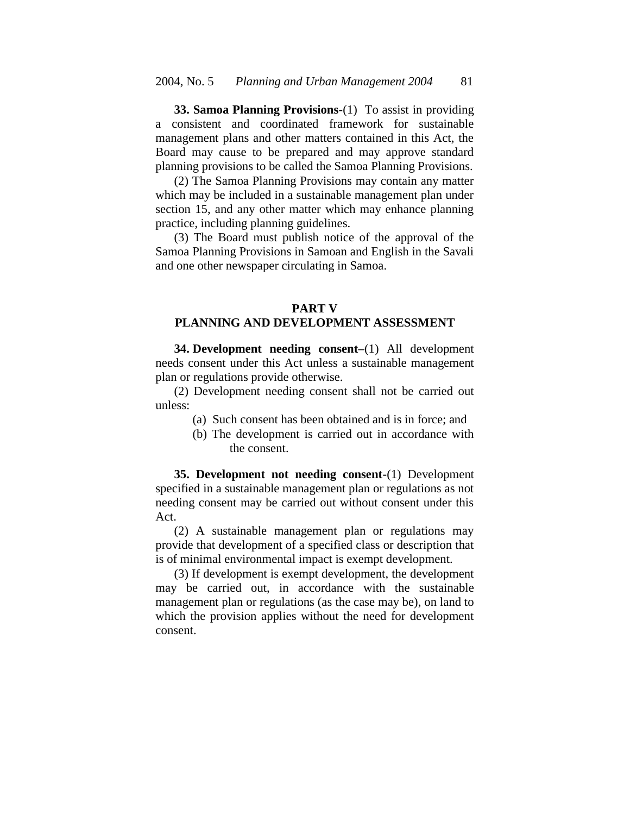**33. Samoa Planning Provisions**-(1)To assist in providing a consistent and coordinated framework for sustainable management plans and other matters contained in this Act, the Board may cause to be prepared and may approve standard planning provisions to be called the Samoa Planning Provisions.

(2) The Samoa Planning Provisions may contain any matter which may be included in a sustainable management plan under section 15, and any other matter which may enhance planning practice, including planning guidelines.

(3) The Board must publish notice of the approval of the Samoa Planning Provisions in Samoan and English in the Savali and one other newspaper circulating in Samoa.

## **PART V**

## **PLANNING AND DEVELOPMENT ASSESSMENT**

**34. Development needing consent–**(1) All development needs consent under this Act unless a sustainable management plan or regulations provide otherwise.

(2) Development needing consent shall not be carried out unless:

- (a) Such consent has been obtained and is in force; and
- (b) The development is carried out in accordance with the consent.

**35. Development not needing consent-**(1) Development specified in a sustainable management plan or regulations as not needing consent may be carried out without consent under this Act.

(2) A sustainable management plan or regulations may provide that development of a specified class or description that is of minimal environmental impact is exempt development.

(3) If development is exempt development, the development may be carried out, in accordance with the sustainable management plan or regulations (as the case may be), on land to which the provision applies without the need for development consent.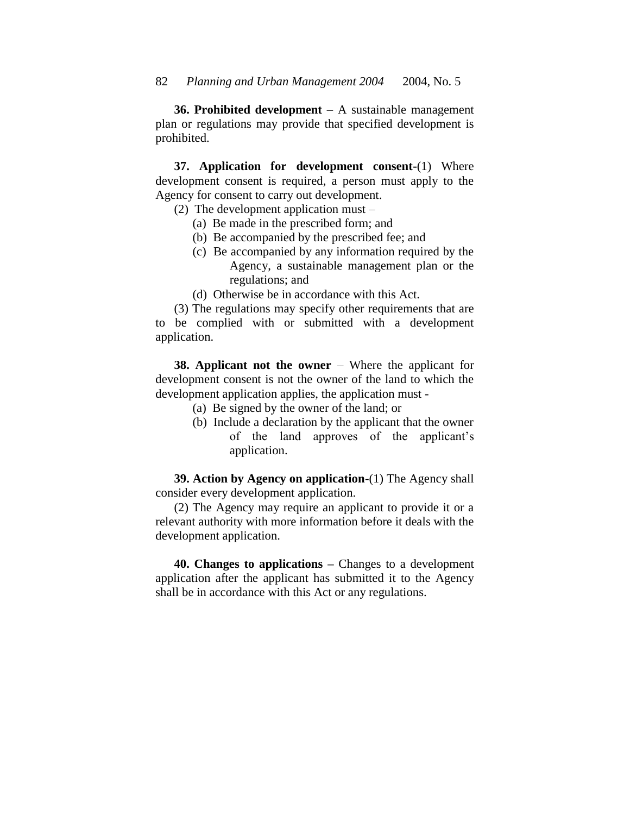**36. Prohibited development** – A sustainable management plan or regulations may provide that specified development is prohibited.

**37. Application for development consent-**(1) Where development consent is required, a person must apply to the Agency for consent to carry out development.

- (2) The development application must
	- (a) Be made in the prescribed form; and
	- (b) Be accompanied by the prescribed fee; and
	- (c) Be accompanied by any information required by the Agency, a sustainable management plan or the regulations; and
	- (d) Otherwise be in accordance with this Act.

(3) The regulations may specify other requirements that are to be complied with or submitted with a development application.

**38. Applicant not the owner** – Where the applicant for development consent is not the owner of the land to which the development application applies, the application must -

- (a) Be signed by the owner of the land; or
- (b) Include a declaration by the applicant that the owner of the land approves of the applicant's application.

**39. Action by Agency on application**-(1) The Agency shall consider every development application.

(2) The Agency may require an applicant to provide it or a relevant authority with more information before it deals with the development application.

**40. Changes to applications –** Changes to a development application after the applicant has submitted it to the Agency shall be in accordance with this Act or any regulations.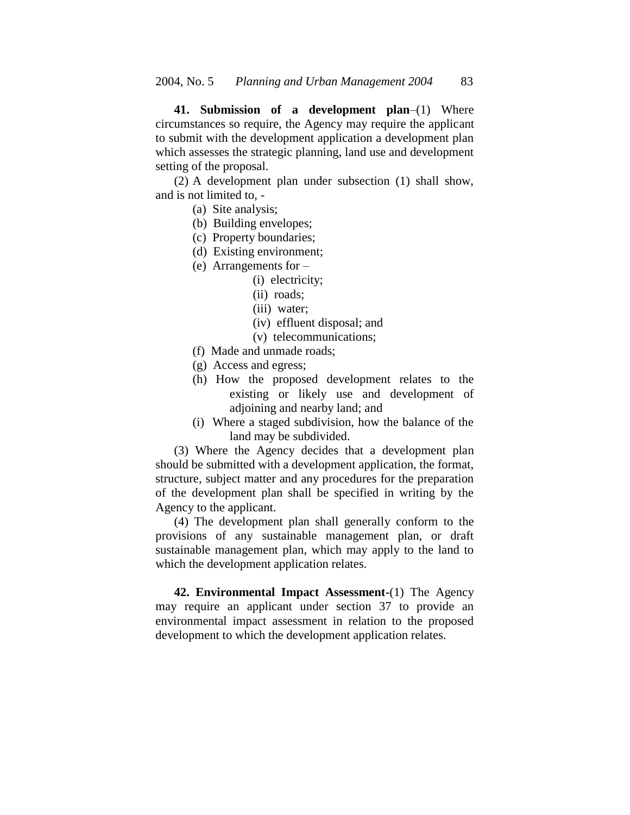**41. Submission of a development plan**–(1) Where circumstances so require, the Agency may require the applicant to submit with the development application a development plan which assesses the strategic planning, land use and development setting of the proposal.

(2) A development plan under subsection (1) shall show, and is not limited to, -

- (a) Site analysis;
- (b) Building envelopes;
- (c) Property boundaries;
- (d) Existing environment;
- (e) Arrangements for
	- (i) electricity;
	- (ii) roads;
	- (iii) water;
	- (iv) effluent disposal; and
	- (v) telecommunications;
- (f) Made and unmade roads;
- (g) Access and egress;
- (h) How the proposed development relates to the existing or likely use and development of adjoining and nearby land; and
- (i) Where a staged subdivision, how the balance of the land may be subdivided.

(3) Where the Agency decides that a development plan should be submitted with a development application, the format, structure, subject matter and any procedures for the preparation of the development plan shall be specified in writing by the Agency to the applicant.

(4) The development plan shall generally conform to the provisions of any sustainable management plan, or draft sustainable management plan, which may apply to the land to which the development application relates.

**42. Environmental Impact Assessment-**(1) The Agency may require an applicant under section 37 to provide an environmental impact assessment in relation to the proposed development to which the development application relates.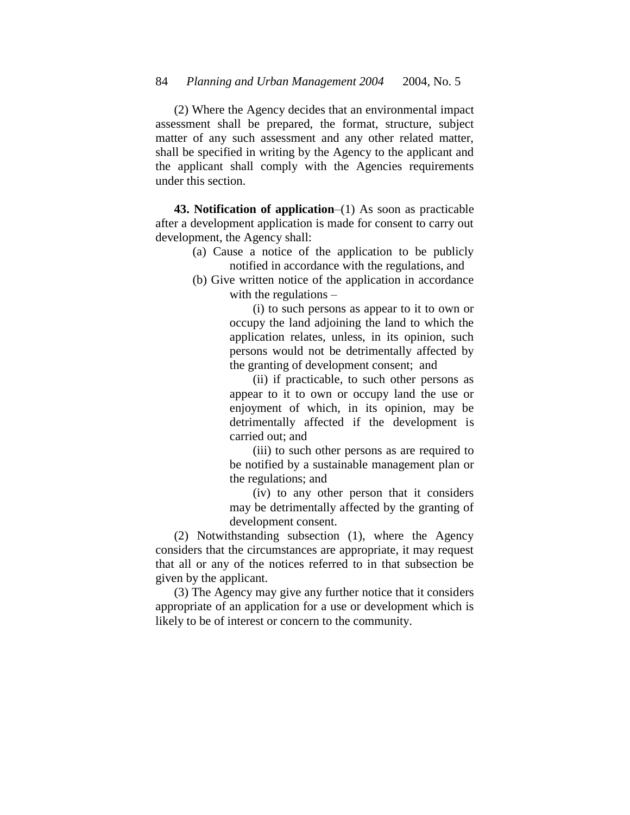(2) Where the Agency decides that an environmental impact assessment shall be prepared, the format, structure, subject matter of any such assessment and any other related matter, shall be specified in writing by the Agency to the applicant and the applicant shall comply with the Agencies requirements under this section.

**43. Notification of application**–(1) As soon as practicable after a development application is made for consent to carry out development, the Agency shall:

- (a) Cause a notice of the application to be publicly notified in accordance with the regulations, and
- (b) Give written notice of the application in accordance with the regulations –

(i) to such persons as appear to it to own or occupy the land adjoining the land to which the application relates, unless, in its opinion, such persons would not be detrimentally affected by the granting of development consent; and

(ii) if practicable, to such other persons as appear to it to own or occupy land the use or enjoyment of which, in its opinion, may be detrimentally affected if the development is carried out; and

(iii) to such other persons as are required to be notified by a sustainable management plan or the regulations; and

(iv) to any other person that it considers may be detrimentally affected by the granting of development consent.

(2) Notwithstanding subsection (1), where the Agency considers that the circumstances are appropriate, it may request that all or any of the notices referred to in that subsection be given by the applicant.

(3) The Agency may give any further notice that it considers appropriate of an application for a use or development which is likely to be of interest or concern to the community.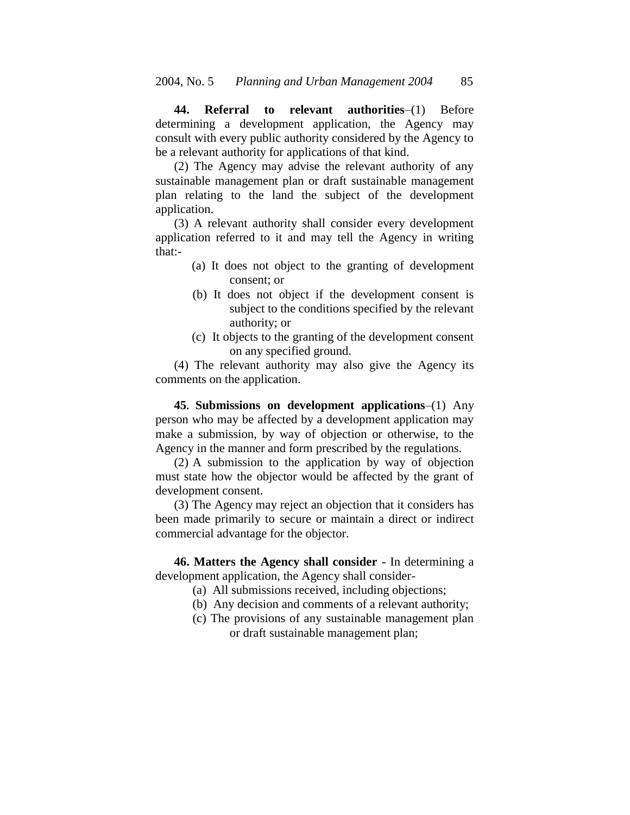**44. Referral to relevant authorities**–(1) Before determining a development application, the Agency may consult with every public authority considered by the Agency to be a relevant authority for applications of that kind.

(2) The Agency may advise the relevant authority of any sustainable management plan or draft sustainable management plan relating to the land the subject of the development application.

(3) A relevant authority shall consider every development application referred to it and may tell the Agency in writing that:-

- (a) It does not object to the granting of development consent; or
- (b) It does not object if the development consent is subject to the conditions specified by the relevant authority; or
- (c) It objects to the granting of the development consent on any specified ground.

(4) The relevant authority may also give the Agency its comments on the application.

**45. Submissions on development applications**–(1) Any person who may be affected by a development application may make a submission, by way of objection or otherwise, to the Agency in the manner and form prescribed by the regulations.

(2) A submission to the application by way of objection must state how the objector would be affected by the grant of development consent.

(3) The Agency may reject an objection that it considers has been made primarily to secure or maintain a direct or indirect commercial advantage for the objector.

**46. Matters the Agency shall consider -** In determining a development application, the Agency shall consider-

- (a) All submissions received, including objections;
- (b) Any decision and comments of a relevant authority;
- (c) The provisions of any sustainable management plan or draft sustainable management plan;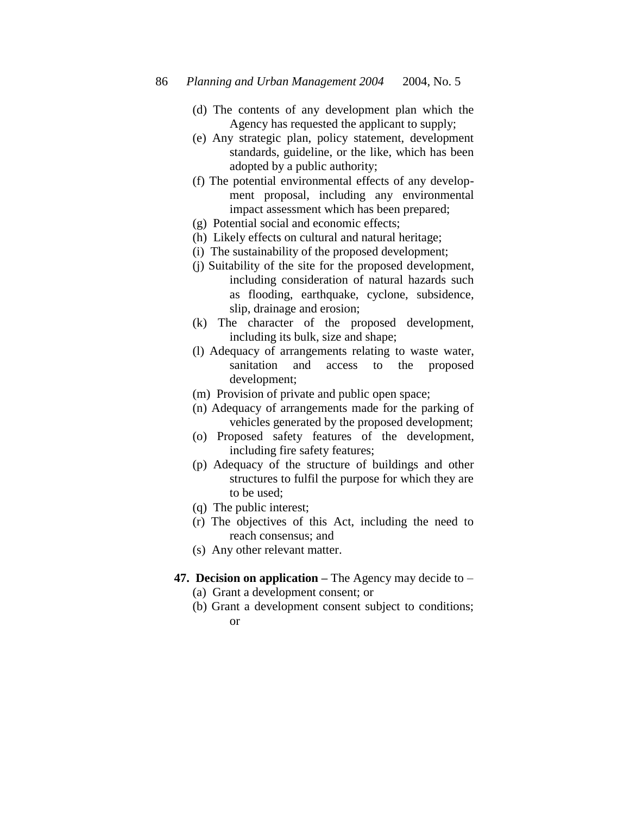86 *Planning and Urban Management 2004* 2004, No. 5

- (d) The contents of any development plan which the Agency has requested the applicant to supply;
- (e) Any strategic plan, policy statement, development standards, guideline, or the like, which has been adopted by a public authority;
- (f) The potential environmental effects of any development proposal, including any environmental impact assessment which has been prepared;
- (g) Potential social and economic effects;
- (h) Likely effects on cultural and natural heritage;
- (i) The sustainability of the proposed development;
- (j) Suitability of the site for the proposed development, including consideration of natural hazards such as flooding, earthquake, cyclone, subsidence, slip, drainage and erosion;
- (k) The character of the proposed development, including its bulk, size and shape;
- (l) Adequacy of arrangements relating to waste water, sanitation and access to the proposed development;
- (m) Provision of private and public open space;
- (n) Adequacy of arrangements made for the parking of vehicles generated by the proposed development;
- (o) Proposed safety features of the development, including fire safety features;
- (p) Adequacy of the structure of buildings and other structures to fulfil the purpose for which they are to be used;
- (q) The public interest;
- (r) The objectives of this Act, including the need to reach consensus; and
- (s) Any other relevant matter.
- **47. Decision on application –** The Agency may decide to
	- (a) Grant a development consent; or
	- (b) Grant a development consent subject to conditions; or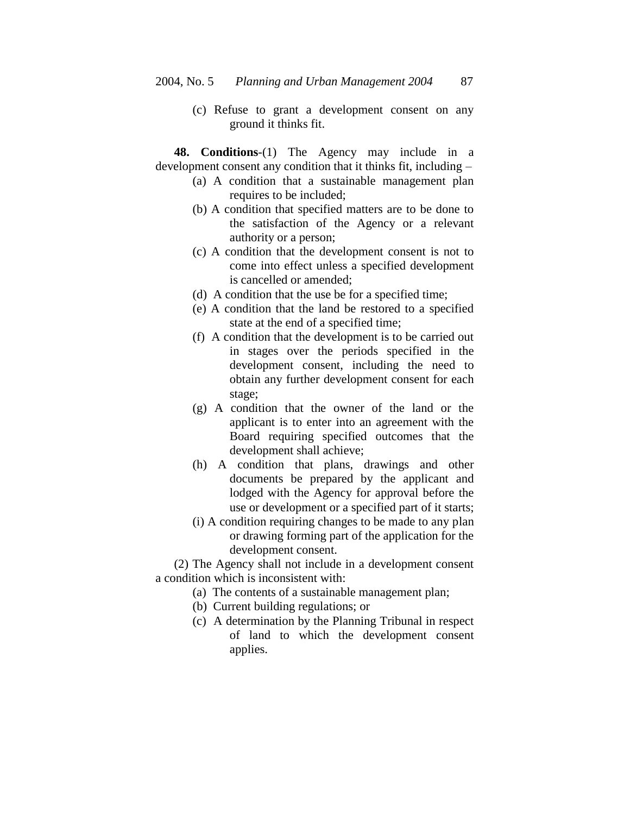(c) Refuse to grant a development consent on any ground it thinks fit.

**48. Conditions**-(1) The Agency may include in a development consent any condition that it thinks fit, including –

- (a) A condition that a sustainable management plan requires to be included;
- (b) A condition that specified matters are to be done to the satisfaction of the Agency or a relevant authority or a person;
- (c) A condition that the development consent is not to come into effect unless a specified development is cancelled or amended;
- (d) A condition that the use be for a specified time;
- (e) A condition that the land be restored to a specified state at the end of a specified time;
- (f) A condition that the development is to be carried out in stages over the periods specified in the development consent, including the need to obtain any further development consent for each stage;
- (g) A condition that the owner of the land or the applicant is to enter into an agreement with the Board requiring specified outcomes that the development shall achieve;
- (h) A condition that plans, drawings and other documents be prepared by the applicant and lodged with the Agency for approval before the use or development or a specified part of it starts;
- (i) A condition requiring changes to be made to any plan or drawing forming part of the application for the development consent.

(2) The Agency shall not include in a development consent a condition which is inconsistent with:

- (a) The contents of a sustainable management plan;
- (b) Current building regulations; or
- (c) A determination by the Planning Tribunal in respect of land to which the development consent applies.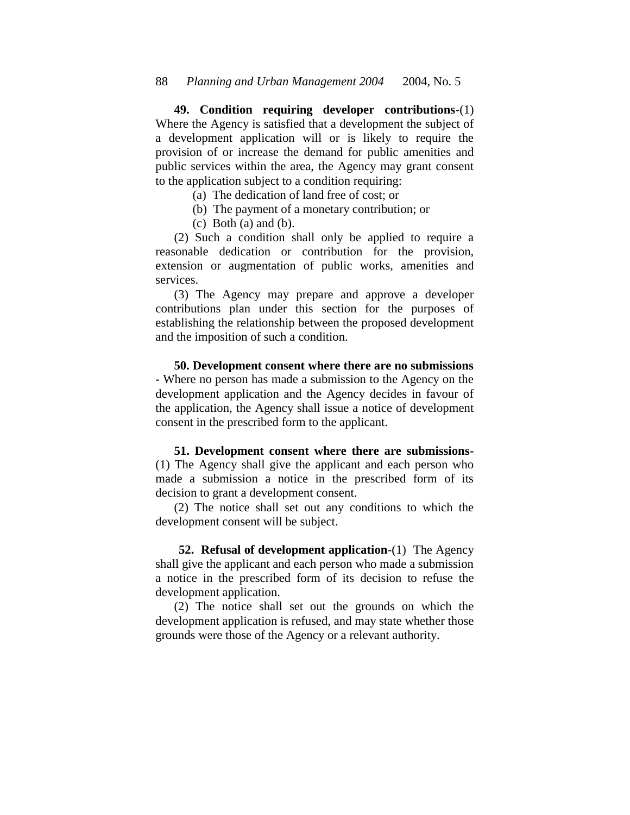**49. Condition requiring developer contributions**-(1) Where the Agency is satisfied that a development the subject of a development application will or is likely to require the provision of or increase the demand for public amenities and public services within the area, the Agency may grant consent to the application subject to a condition requiring:

- (a) The dedication of land free of cost; or
- (b) The payment of a monetary contribution; or
- $(c)$  Both  $(a)$  and  $(b)$ .

(2) Such a condition shall only be applied to require a reasonable dedication or contribution for the provision, extension or augmentation of public works, amenities and services.

(3) The Agency may prepare and approve a developer contributions plan under this section for the purposes of establishing the relationship between the proposed development and the imposition of such a condition.

**50. Development consent where there are no submissions -** Where no person has made a submission to the Agency on the development application and the Agency decides in favour of the application, the Agency shall issue a notice of development consent in the prescribed form to the applicant.

**51. Development consent where there are submissions-** (1) The Agency shall give the applicant and each person who made a submission a notice in the prescribed form of its decision to grant a development consent.

(2) The notice shall set out any conditions to which the development consent will be subject.

**52. Refusal of development application**-(1)The Agency shall give the applicant and each person who made a submission a notice in the prescribed form of its decision to refuse the development application.

(2) The notice shall set out the grounds on which the development application is refused, and may state whether those grounds were those of the Agency or a relevant authority.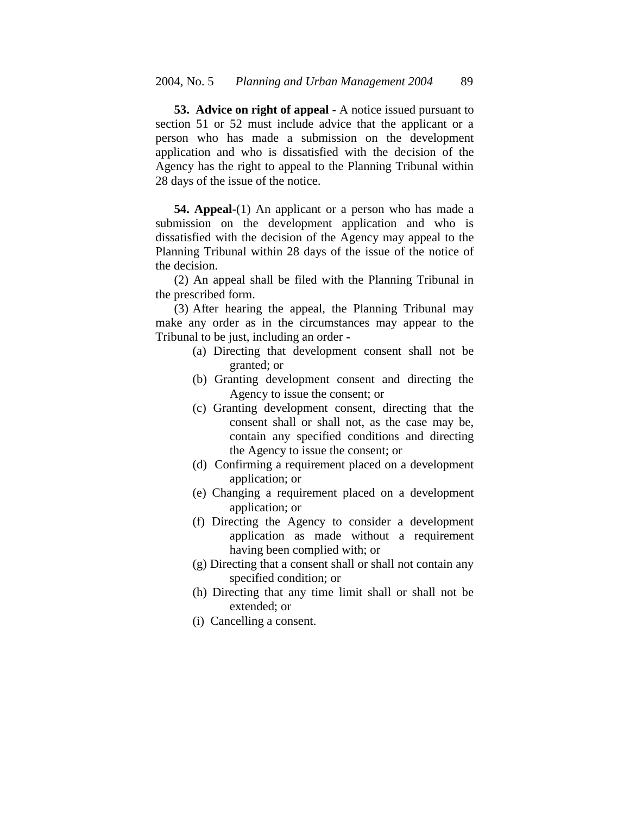**53. Advice on right of appeal -** A notice issued pursuant to section 51 or 52 must include advice that the applicant or a person who has made a submission on the development application and who is dissatisfied with the decision of the Agency has the right to appeal to the Planning Tribunal within 28 days of the issue of the notice.

**54. Appeal-**(1) An applicant or a person who has made a submission on the development application and who is dissatisfied with the decision of the Agency may appeal to the Planning Tribunal within 28 days of the issue of the notice of the decision.

(2) An appeal shall be filed with the Planning Tribunal in the prescribed form.

(3) After hearing the appeal, the Planning Tribunal may make any order as in the circumstances may appear to the Tribunal to be just, including an order **-**

- (a) Directing that development consent shall not be granted; or
- (b) Granting development consent and directing the Agency to issue the consent; or
- (c) Granting development consent, directing that the consent shall or shall not, as the case may be, contain any specified conditions and directing the Agency to issue the consent; or
- (d) Confirming a requirement placed on a development application; or
- (e) Changing a requirement placed on a development application; or
- (f) Directing the Agency to consider a development application as made without a requirement having been complied with; or
- (g) Directing that a consent shall or shall not contain any specified condition; or
- (h) Directing that any time limit shall or shall not be extended; or
- (i) Cancelling a consent.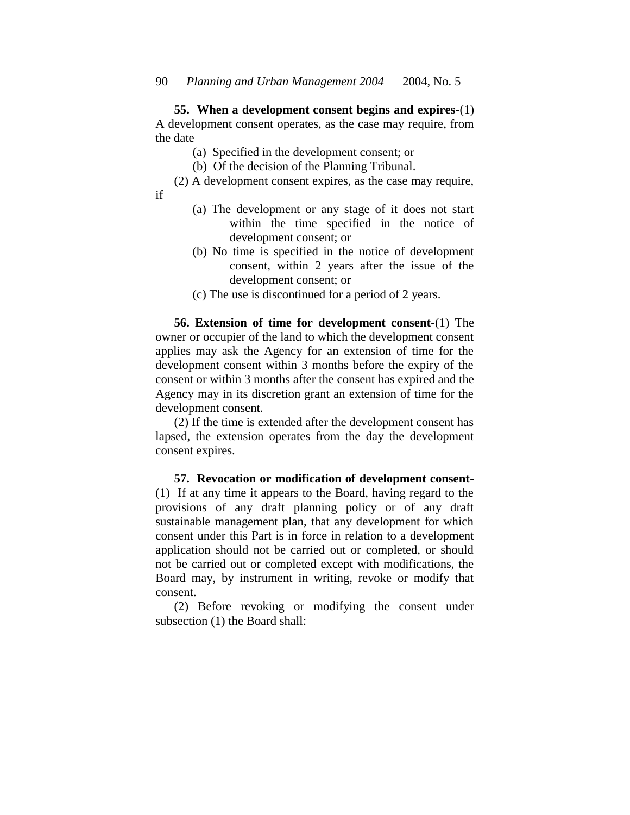**55. When a development consent begins and expires-**(1) A development consent operates, as the case may require, from the date –

- (a) Specified in the development consent; or
- (b) Of the decision of the Planning Tribunal.
- (2) A development consent expires, as the case may require,  $if -$ 
	- (a) The development or any stage of it does not start within the time specified in the notice of development consent; or
	- (b) No time is specified in the notice of development consent, within 2 years after the issue of the development consent; or
	- (c) The use is discontinued for a period of 2 years.

**56. Extension of time for development consent**-(1) The owner or occupier of the land to which the development consent applies may ask the Agency for an extension of time for the development consent within 3 months before the expiry of the consent or within 3 months after the consent has expired and the Agency may in its discretion grant an extension of time for the development consent.

(2) If the time is extended after the development consent has lapsed, the extension operates from the day the development consent expires.

**57. Revocation or modification of development consent**- (1)If at any time it appears to the Board, having regard to the provisions of any draft planning policy or of any draft sustainable management plan, that any development for which consent under this Part is in force in relation to a development application should not be carried out or completed, or should not be carried out or completed except with modifications, the Board may, by instrument in writing, revoke or modify that consent.

(2) Before revoking or modifying the consent under subsection (1) the Board shall: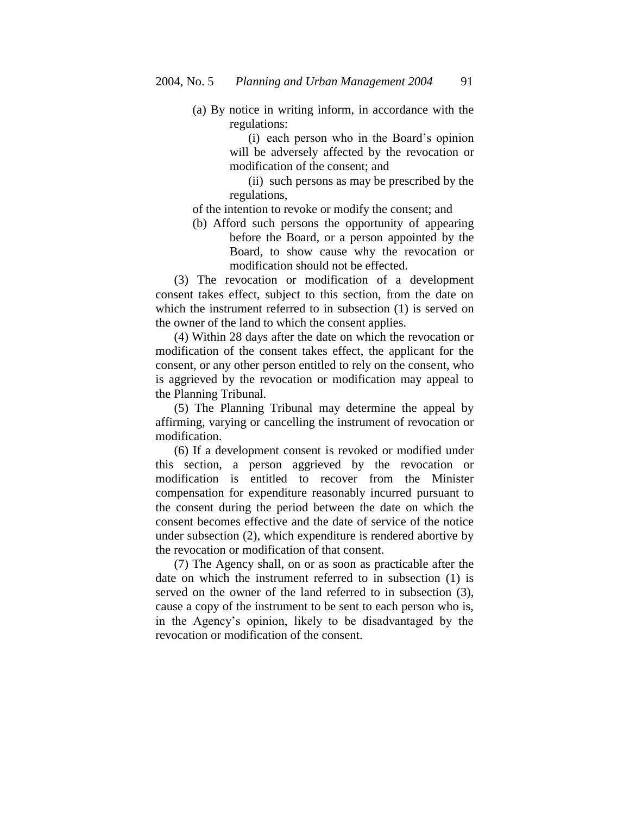(a) By notice in writing inform, in accordance with the regulations:

> (i) each person who in the Board's opinion will be adversely affected by the revocation or modification of the consent; and

> (ii) such persons as may be prescribed by the regulations,

of the intention to revoke or modify the consent; and

(b) Afford such persons the opportunity of appearing before the Board, or a person appointed by the Board, to show cause why the revocation or modification should not be effected.

(3) The revocation or modification of a development consent takes effect, subject to this section, from the date on which the instrument referred to in subsection (1) is served on the owner of the land to which the consent applies.

(4) Within 28 days after the date on which the revocation or modification of the consent takes effect, the applicant for the consent, or any other person entitled to rely on the consent, who is aggrieved by the revocation or modification may appeal to the Planning Tribunal.

(5) The Planning Tribunal may determine the appeal by affirming, varying or cancelling the instrument of revocation or modification.

(6) If a development consent is revoked or modified under this section, a person aggrieved by the revocation or modification is entitled to recover from the Minister compensation for expenditure reasonably incurred pursuant to the consent during the period between the date on which the consent becomes effective and the date of service of the notice under subsection (2), which expenditure is rendered abortive by the revocation or modification of that consent.

(7) The Agency shall, on or as soon as practicable after the date on which the instrument referred to in subsection (1) is served on the owner of the land referred to in subsection (3), cause a copy of the instrument to be sent to each person who is, in the Agency's opinion, likely to be disadvantaged by the revocation or modification of the consent.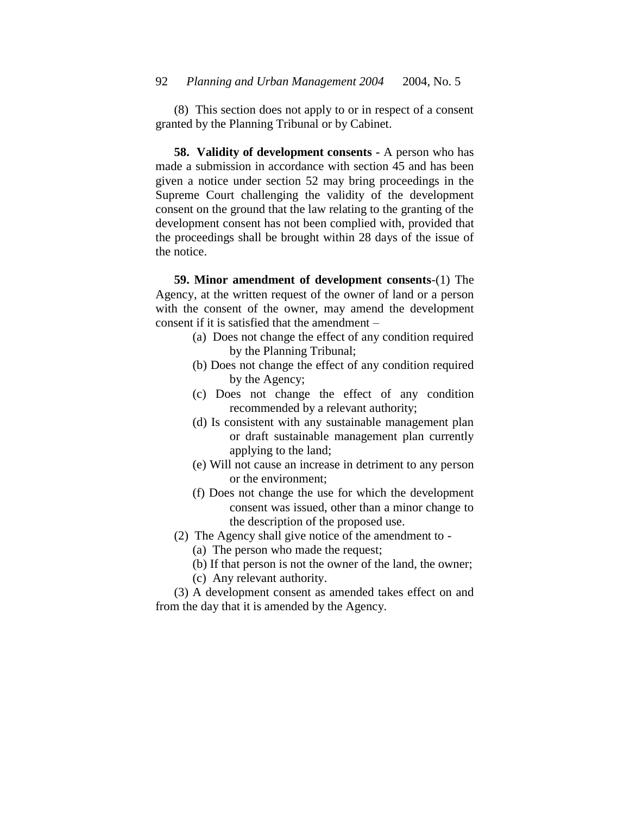(8) This section does not apply to or in respect of a consent granted by the Planning Tribunal or by Cabinet.

**58. Validity of development consents -** A person who has made a submission in accordance with section 45 and has been given a notice under section 52 may bring proceedings in the Supreme Court challenging the validity of the development consent on the ground that the law relating to the granting of the development consent has not been complied with, provided that the proceedings shall be brought within 28 days of the issue of the notice.

**59. Minor amendment of development consents**-(1) The Agency, at the written request of the owner of land or a person with the consent of the owner, may amend the development consent if it is satisfied that the amendment –

- (a) Does not change the effect of any condition required by the Planning Tribunal;
- (b) Does not change the effect of any condition required by the Agency;
- (c) Does not change the effect of any condition recommended by a relevant authority;
- (d) Is consistent with any sustainable management plan or draft sustainable management plan currently applying to the land;
- (e) Will not cause an increase in detriment to any person or the environment;
- (f) Does not change the use for which the development consent was issued, other than a minor change to the description of the proposed use.
- (2) The Agency shall give notice of the amendment to
	- (a) The person who made the request;
	- (b) If that person is not the owner of the land, the owner;
	- (c) Any relevant authority.

(3) A development consent as amended takes effect on and from the day that it is amended by the Agency.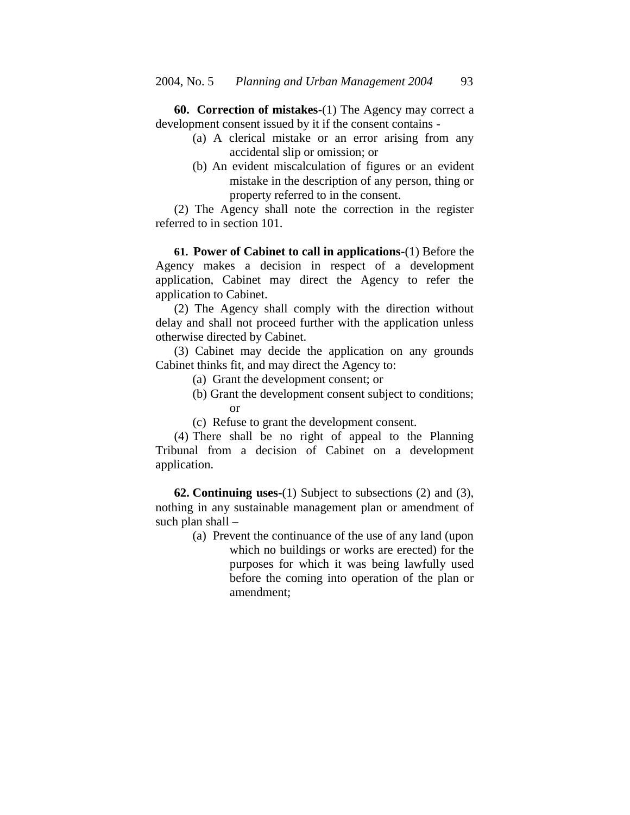**60. Correction of mistakes-**(1) The Agency may correct a development consent issued by it if the consent contains -

- (a) A clerical mistake or an error arising from any accidental slip or omission; or
- (b) An evident miscalculation of figures or an evident mistake in the description of any person, thing or property referred to in the consent.

(2) The Agency shall note the correction in the register referred to in section 101.

**61. Power of Cabinet to call in applications-**(1) Before the Agency makes a decision in respect of a development application, Cabinet may direct the Agency to refer the application to Cabinet.

(2) The Agency shall comply with the direction without delay and shall not proceed further with the application unless otherwise directed by Cabinet.

(3) Cabinet may decide the application on any grounds Cabinet thinks fit, and may direct the Agency to:

- (a) Grant the development consent; or
- (b) Grant the development consent subject to conditions; or
- (c) Refuse to grant the development consent.

(4) There shall be no right of appeal to the Planning Tribunal from a decision of Cabinet on a development application.

**62. Continuing uses-**(1) Subject to subsections (2) and (3), nothing in any sustainable management plan or amendment of such plan shall –

> (a) Prevent the continuance of the use of any land (upon which no buildings or works are erected) for the purposes for which it was being lawfully used before the coming into operation of the plan or amendment;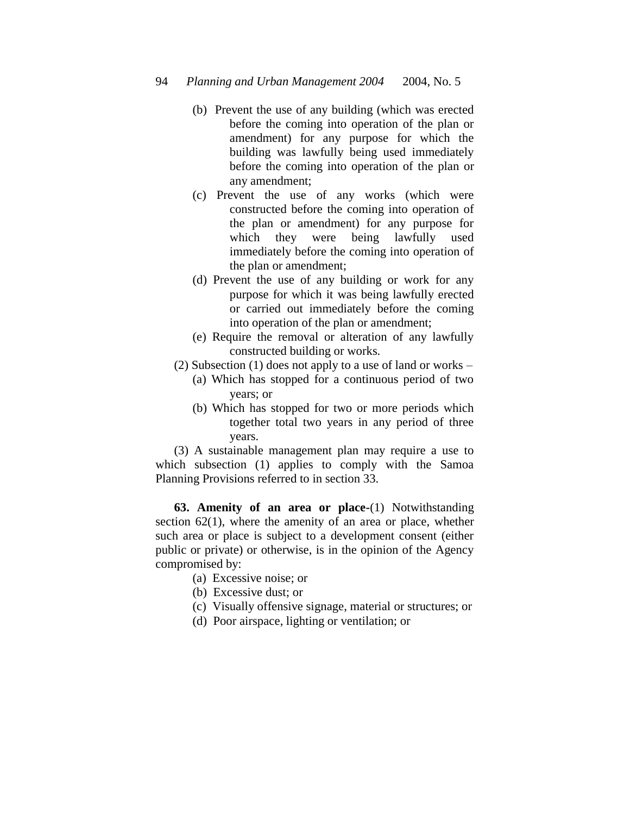## 94 *Planning and Urban Management 2004* 2004, No. 5

- (b) Prevent the use of any building (which was erected before the coming into operation of the plan or amendment) for any purpose for which the building was lawfully being used immediately before the coming into operation of the plan or any amendment;
- (c) Prevent the use of any works (which were constructed before the coming into operation of the plan or amendment) for any purpose for which they were being lawfully used immediately before the coming into operation of the plan or amendment;
- (d) Prevent the use of any building or work for any purpose for which it was being lawfully erected or carried out immediately before the coming into operation of the plan or amendment;
- (e) Require the removal or alteration of any lawfully constructed building or works.
- (2) Subsection (1) does not apply to a use of land or works
	- (a) Which has stopped for a continuous period of two years; or
	- (b) Which has stopped for two or more periods which together total two years in any period of three years.

(3) A sustainable management plan may require a use to which subsection (1) applies to comply with the Samoa Planning Provisions referred to in section 33.

**63. Amenity of an area or place-**(1) Notwithstanding section 62(1), where the amenity of an area or place, whether such area or place is subject to a development consent (either public or private) or otherwise, is in the opinion of the Agency compromised by:

- (a) Excessive noise; or
- (b) Excessive dust; or
- (c) Visually offensive signage, material or structures; or
- (d) Poor airspace, lighting or ventilation; or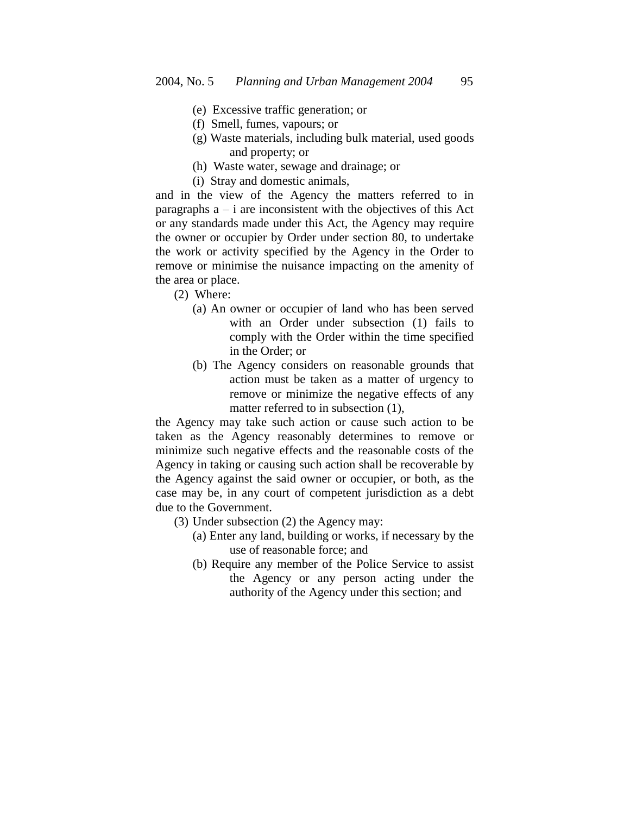- (e) Excessive traffic generation; or
- (f) Smell, fumes, vapours; or
- (g) Waste materials, including bulk material, used goods and property; or
- (h) Waste water, sewage and drainage; or
- (i) Stray and domestic animals,

and in the view of the Agency the matters referred to in paragraphs  $a - i$  are inconsistent with the objectives of this Act or any standards made under this Act, the Agency may require the owner or occupier by Order under section 80, to undertake the work or activity specified by the Agency in the Order to remove or minimise the nuisance impacting on the amenity of the area or place.

- (2) Where:
	- (a) An owner or occupier of land who has been served with an Order under subsection (1) fails to comply with the Order within the time specified in the Order; or
	- (b) The Agency considers on reasonable grounds that action must be taken as a matter of urgency to remove or minimize the negative effects of any matter referred to in subsection (1),

the Agency may take such action or cause such action to be taken as the Agency reasonably determines to remove or minimize such negative effects and the reasonable costs of the Agency in taking or causing such action shall be recoverable by the Agency against the said owner or occupier, or both, as the case may be, in any court of competent jurisdiction as a debt due to the Government.

- (3) Under subsection (2) the Agency may:
	- (a) Enter any land, building or works, if necessary by the use of reasonable force; and
	- (b) Require any member of the Police Service to assist the Agency or any person acting under the authority of the Agency under this section; and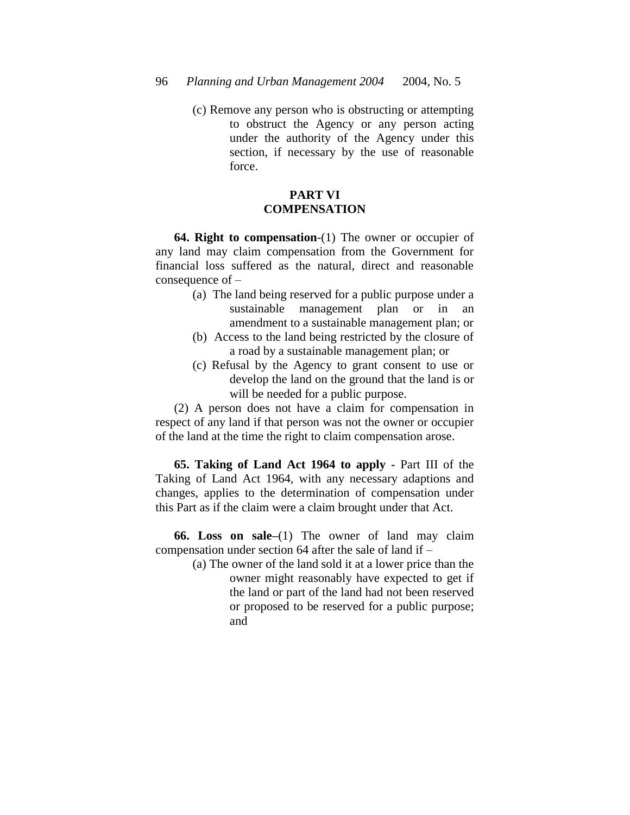(c) Remove any person who is obstructing or attempting to obstruct the Agency or any person acting under the authority of the Agency under this section, if necessary by the use of reasonable force.

# **PART VI COMPENSATION**

**64. Right to compensation**-(1) The owner or occupier of any land may claim compensation from the Government for financial loss suffered as the natural, direct and reasonable consequence of  $-$ 

- (a) The land being reserved for a public purpose under a sustainable management plan or in an amendment to a sustainable management plan; or
- (b) Access to the land being restricted by the closure of a road by a sustainable management plan; or
- (c) Refusal by the Agency to grant consent to use or develop the land on the ground that the land is or will be needed for a public purpose.

(2) A person does not have a claim for compensation in respect of any land if that person was not the owner or occupier of the land at the time the right to claim compensation arose.

**65. Taking of Land Act 1964 to apply -** Part III of the Taking of Land Act 1964, with any necessary adaptions and changes, applies to the determination of compensation under this Part as if the claim were a claim brought under that Act.

**66. Loss on sale–**(1) The owner of land may claim compensation under section 64 after the sale of land if –

> (a) The owner of the land sold it at a lower price than the owner might reasonably have expected to get if the land or part of the land had not been reserved or proposed to be reserved for a public purpose; and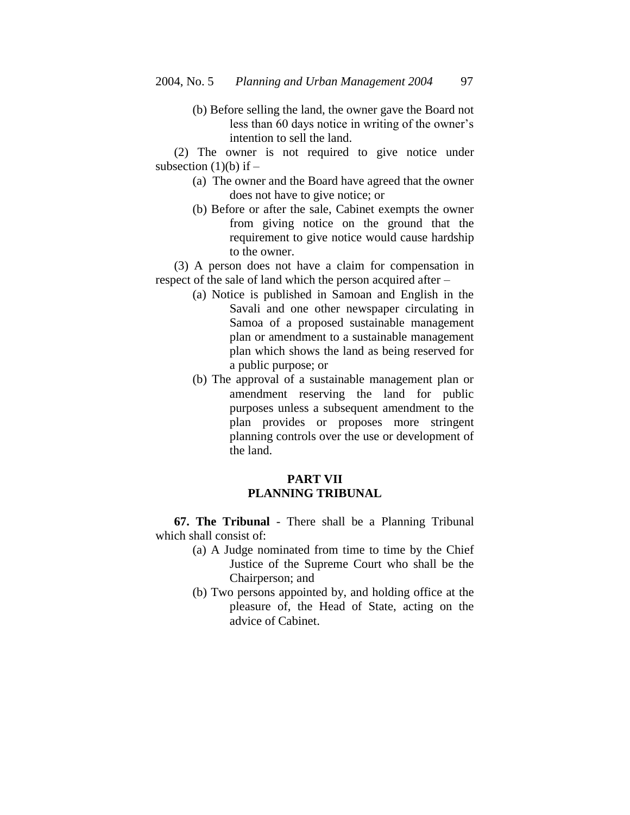(b) Before selling the land, the owner gave the Board not less than 60 days notice in writing of the owner's intention to sell the land.

(2) The owner is not required to give notice under subsection (1)(b) if  $-$ 

- (a) The owner and the Board have agreed that the owner does not have to give notice; or
- (b) Before or after the sale, Cabinet exempts the owner from giving notice on the ground that the requirement to give notice would cause hardship to the owner.

(3) A person does not have a claim for compensation in respect of the sale of land which the person acquired after –

- (a) Notice is published in Samoan and English in the Savali and one other newspaper circulating in Samoa of a proposed sustainable management plan or amendment to a sustainable management plan which shows the land as being reserved for a public purpose; or
- (b) The approval of a sustainable management plan or amendment reserving the land for public purposes unless a subsequent amendment to the plan provides or proposes more stringent planning controls over the use or development of the land.

# **PART VII PLANNING TRIBUNAL**

**67. The Tribunal** - There shall be a Planning Tribunal which shall consist of:

- (a) A Judge nominated from time to time by the Chief Justice of the Supreme Court who shall be the Chairperson; and
- (b) Two persons appointed by, and holding office at the pleasure of, the Head of State, acting on the advice of Cabinet.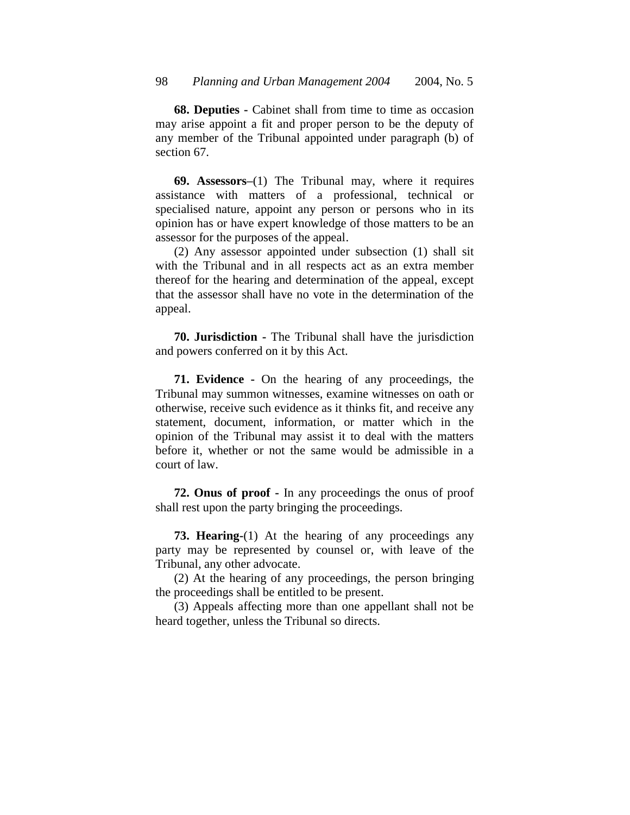**68. Deputies -** Cabinet shall from time to time as occasion may arise appoint a fit and proper person to be the deputy of any member of the Tribunal appointed under paragraph (b) of section 67.

**69. Assessors–**(1) The Tribunal may, where it requires assistance with matters of a professional, technical or specialised nature, appoint any person or persons who in its opinion has or have expert knowledge of those matters to be an assessor for the purposes of the appeal.

(2) Any assessor appointed under subsection (1) shall sit with the Tribunal and in all respects act as an extra member thereof for the hearing and determination of the appeal, except that the assessor shall have no vote in the determination of the appeal.

**70. Jurisdiction -** The Tribunal shall have the jurisdiction and powers conferred on it by this Act.

**71. Evidence -** On the hearing of any proceedings, the Tribunal may summon witnesses, examine witnesses on oath or otherwise, receive such evidence as it thinks fit, and receive any statement, document, information, or matter which in the opinion of the Tribunal may assist it to deal with the matters before it, whether or not the same would be admissible in a court of law.

**72. Onus of proof -** In any proceedings the onus of proof shall rest upon the party bringing the proceedings.

**73. Hearing-**(1) At the hearing of any proceedings any party may be represented by counsel or, with leave of the Tribunal, any other advocate.

(2) At the hearing of any proceedings, the person bringing the proceedings shall be entitled to be present.

(3) Appeals affecting more than one appellant shall not be heard together, unless the Tribunal so directs.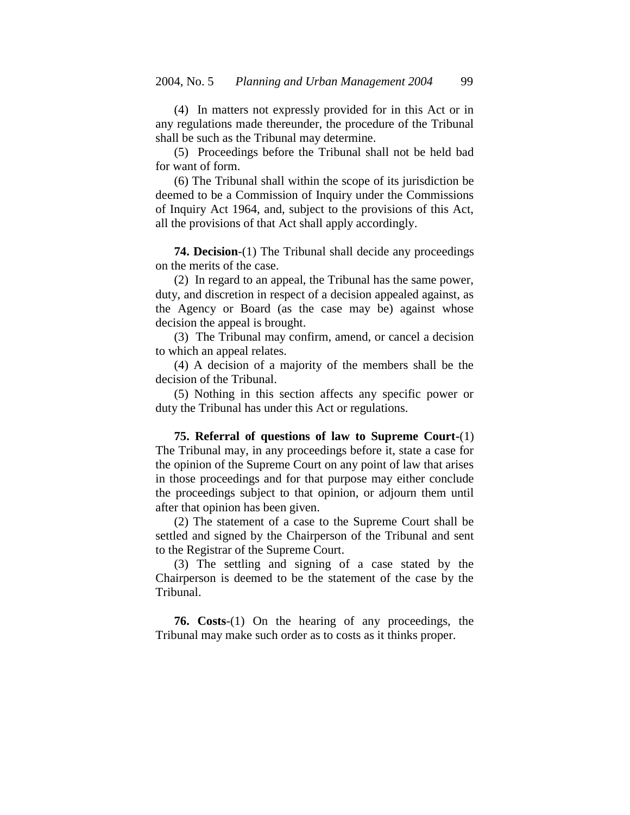(4) In matters not expressly provided for in this Act or in any regulations made thereunder, the procedure of the Tribunal shall be such as the Tribunal may determine.

(5) Proceedings before the Tribunal shall not be held bad for want of form.

(6) The Tribunal shall within the scope of its jurisdiction be deemed to be a Commission of Inquiry under the Commissions of Inquiry Act 1964, and, subject to the provisions of this Act, all the provisions of that Act shall apply accordingly.

**74. Decision**-(1) The Tribunal shall decide any proceedings on the merits of the case.

(2) In regard to an appeal, the Tribunal has the same power, duty, and discretion in respect of a decision appealed against, as the Agency or Board (as the case may be) against whose decision the appeal is brought.

(3) The Tribunal may confirm, amend, or cancel a decision to which an appeal relates.

(4) A decision of a majority of the members shall be the decision of the Tribunal.

(5) Nothing in this section affects any specific power or duty the Tribunal has under this Act or regulations.

**75. Referral of questions of law to Supreme Court-**(1) The Tribunal may, in any proceedings before it, state a case for the opinion of the Supreme Court on any point of law that arises in those proceedings and for that purpose may either conclude the proceedings subject to that opinion, or adjourn them until after that opinion has been given.

(2) The statement of a case to the Supreme Court shall be settled and signed by the Chairperson of the Tribunal and sent to the Registrar of the Supreme Court.

(3) The settling and signing of a case stated by the Chairperson is deemed to be the statement of the case by the Tribunal.

**76. Costs**-(1) On the hearing of any proceedings, the Tribunal may make such order as to costs as it thinks proper.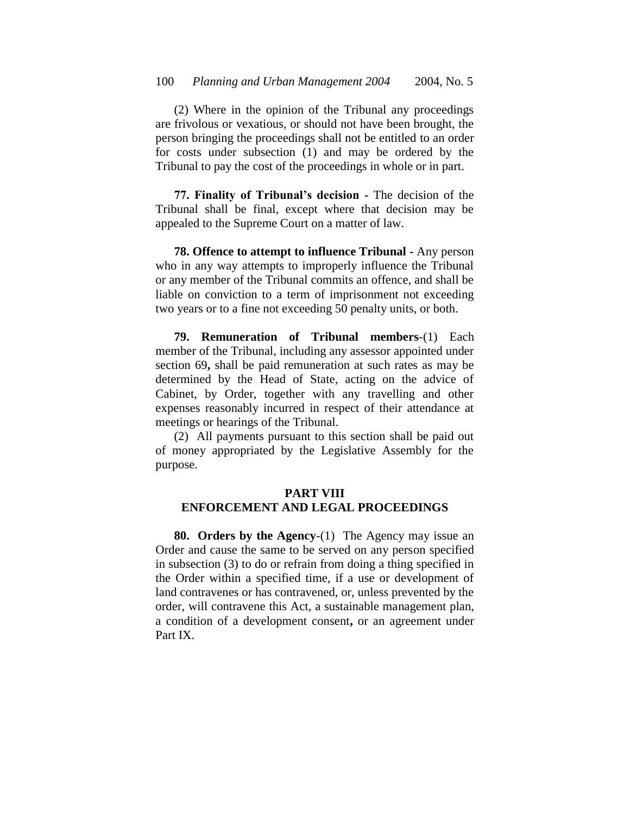(2) Where in the opinion of the Tribunal any proceedings are frivolous or vexatious, or should not have been brought, the person bringing the proceedings shall not be entitled to an order for costs under subsection (1) and may be ordered by the Tribunal to pay the cost of the proceedings in whole or in part.

**77. Finality of Tribunal's decision -** The decision of the Tribunal shall be final, except where that decision may be appealed to the Supreme Court on a matter of law.

**78. Offence to attempt to influence Tribunal -** Any person who in any way attempts to improperly influence the Tribunal or any member of the Tribunal commits an offence, and shall be liable on conviction to a term of imprisonment not exceeding two years or to a fine not exceeding 50 penalty units, or both.

**79. Remuneration of Tribunal members**-(1) Each member of the Tribunal, including any assessor appointed under section 69**,** shall be paid remuneration at such rates as may be determined by the Head of State, acting on the advice of Cabinet, by Order, together with any travelling and other expenses reasonably incurred in respect of their attendance at meetings or hearings of the Tribunal.

(2) All payments pursuant to this section shall be paid out of money appropriated by the Legislative Assembly for the purpose.

# **PART VIII ENFORCEMENT AND LEGAL PROCEEDINGS**

**80. Orders by the Agency**-(1)The Agency may issue an Order and cause the same to be served on any person specified in subsection (3) to do or refrain from doing a thing specified in the Order within a specified time, if a use or development of land contravenes or has contravened, or, unless prevented by the order, will contravene this Act, a sustainable management plan, a condition of a development consent**,** or an agreement under Part IX.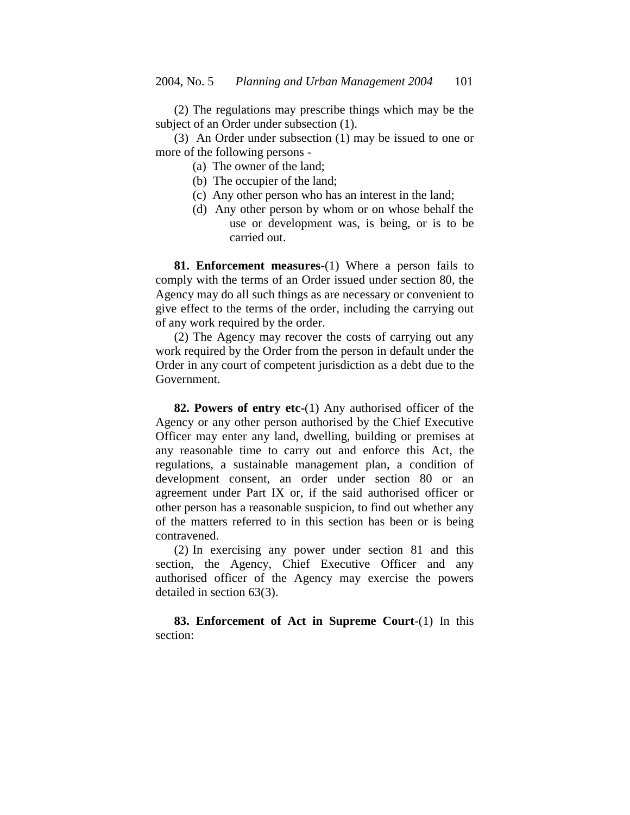(2) The regulations may prescribe things which may be the subject of an Order under subsection (1).

(3) An Order under subsection (1) may be issued to one or more of the following persons -

- (a) The owner of the land;
- (b) The occupier of the land;
- (c) Any other person who has an interest in the land;
- (d) Any other person by whom or on whose behalf the use or development was, is being, or is to be carried out.

**81. Enforcement measures-**(1) Where a person fails to comply with the terms of an Order issued under section 80, the Agency may do all such things as are necessary or convenient to give effect to the terms of the order, including the carrying out of any work required by the order.

(2) The Agency may recover the costs of carrying out any work required by the Order from the person in default under the Order in any court of competent jurisdiction as a debt due to the Government.

**82. Powers of entry etc-**(1) Any authorised officer of the Agency or any other person authorised by the Chief Executive Officer may enter any land, dwelling, building or premises at any reasonable time to carry out and enforce this Act, the regulations, a sustainable management plan, a condition of development consent, an order under section 80 or an agreement under Part IX or, if the said authorised officer or other person has a reasonable suspicion, to find out whether any of the matters referred to in this section has been or is being contravened.

(2) In exercising any power under section 81 and this section, the Agency, Chief Executive Officer and any authorised officer of the Agency may exercise the powers detailed in section 63(3).

**83. Enforcement of Act in Supreme Court**-(1) In this section: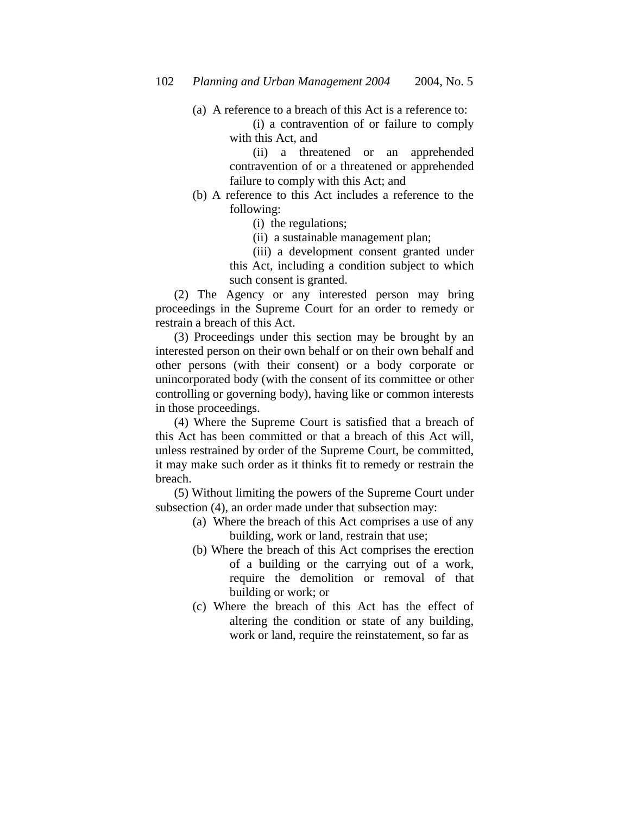(a) A reference to a breach of this Act is a reference to:

(i) a contravention of or failure to comply with this Act, and

(ii) a threatened or an apprehended contravention of or a threatened or apprehended failure to comply with this Act; and

(b) A reference to this Act includes a reference to the following:

(i) the regulations;

(ii) a sustainable management plan;

(iii) a development consent granted under this Act, including a condition subject to which such consent is granted.

(2) The Agency or any interested person may bring proceedings in the Supreme Court for an order to remedy or restrain a breach of this Act.

(3) Proceedings under this section may be brought by an interested person on their own behalf or on their own behalf and other persons (with their consent) or a body corporate or unincorporated body (with the consent of its committee or other controlling or governing body), having like or common interests in those proceedings.

(4) Where the Supreme Court is satisfied that a breach of this Act has been committed or that a breach of this Act will, unless restrained by order of the Supreme Court, be committed, it may make such order as it thinks fit to remedy or restrain the breach.

(5) Without limiting the powers of the Supreme Court under subsection (4), an order made under that subsection may:

- (a) Where the breach of this Act comprises a use of any building, work or land, restrain that use;
- (b) Where the breach of this Act comprises the erection of a building or the carrying out of a work, require the demolition or removal of that building or work; or
- (c) Where the breach of this Act has the effect of altering the condition or state of any building, work or land, require the reinstatement, so far as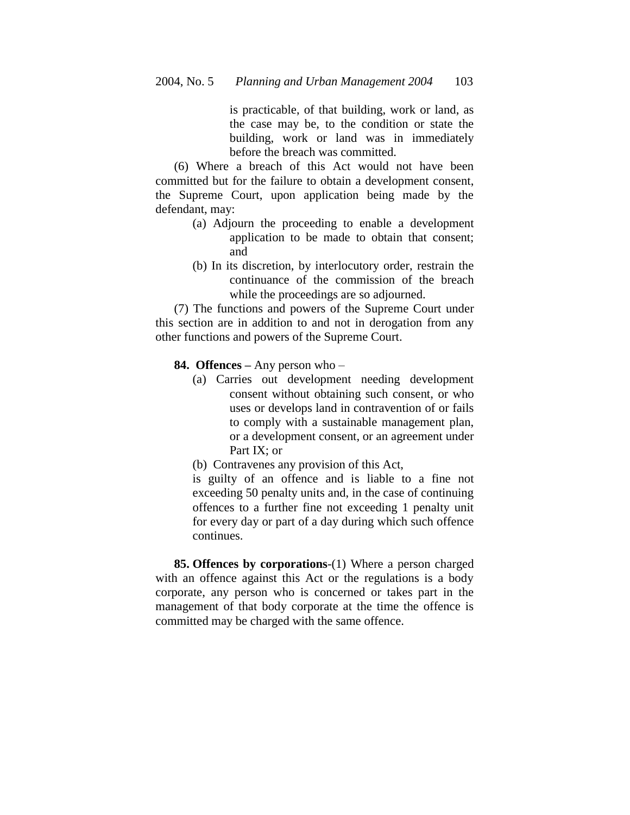is practicable, of that building, work or land, as the case may be, to the condition or state the building, work or land was in immediately before the breach was committed.

(6) Where a breach of this Act would not have been committed but for the failure to obtain a development consent, the Supreme Court, upon application being made by the defendant, may:

- (a) Adjourn the proceeding to enable a development application to be made to obtain that consent; and
- (b) In its discretion, by interlocutory order, restrain the continuance of the commission of the breach while the proceedings are so adjourned.

(7) The functions and powers of the Supreme Court under this section are in addition to and not in derogation from any other functions and powers of the Supreme Court.

- **84. Offences –** Any person who
	- (a) Carries out development needing development consent without obtaining such consent, or who uses or develops land in contravention of or fails to comply with a sustainable management plan, or a development consent, or an agreement under Part IX; or
	- (b) Contravenes any provision of this Act,

is guilty of an offence and is liable to a fine not exceeding 50 penalty units and, in the case of continuing offences to a further fine not exceeding 1 penalty unit for every day or part of a day during which such offence continues.

**85. Offences by corporations**-(1) Where a person charged with an offence against this Act or the regulations is a body corporate, any person who is concerned or takes part in the management of that body corporate at the time the offence is committed may be charged with the same offence.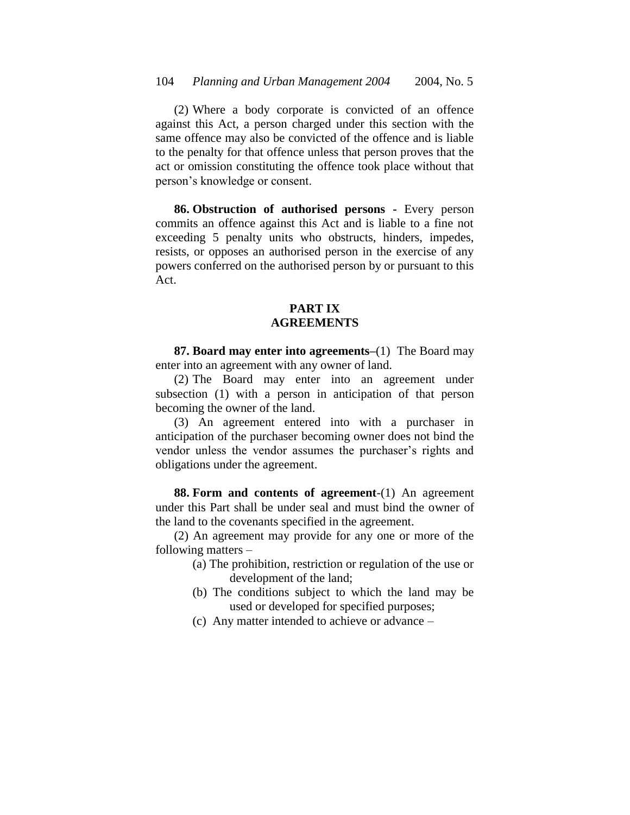(2) Where a body corporate is convicted of an offence against this Act, a person charged under this section with the same offence may also be convicted of the offence and is liable to the penalty for that offence unless that person proves that the act or omission constituting the offence took place without that person's knowledge or consent.

**86. Obstruction of authorised persons -** Every person commits an offence against this Act and is liable to a fine not exceeding 5 penalty units who obstructs, hinders, impedes, resists, or opposes an authorised person in the exercise of any powers conferred on the authorised person by or pursuant to this Act.

# **PART IX AGREEMENTS**

**87. Board may enter into agreements–**(1) The Board may enter into an agreement with any owner of land.

(2) The Board may enter into an agreement under subsection (1) with a person in anticipation of that person becoming the owner of the land.

(3) An agreement entered into with a purchaser in anticipation of the purchaser becoming owner does not bind the vendor unless the vendor assumes the purchaser's rights and obligations under the agreement.

**88. Form and contents of agreement**-(1) An agreement under this Part shall be under seal and must bind the owner of the land to the covenants specified in the agreement.

(2) An agreement may provide for any one or more of the following matters –

- (a) The prohibition, restriction or regulation of the use or development of the land;
- (b) The conditions subject to which the land may be used or developed for specified purposes;
- (c) Any matter intended to achieve or advance –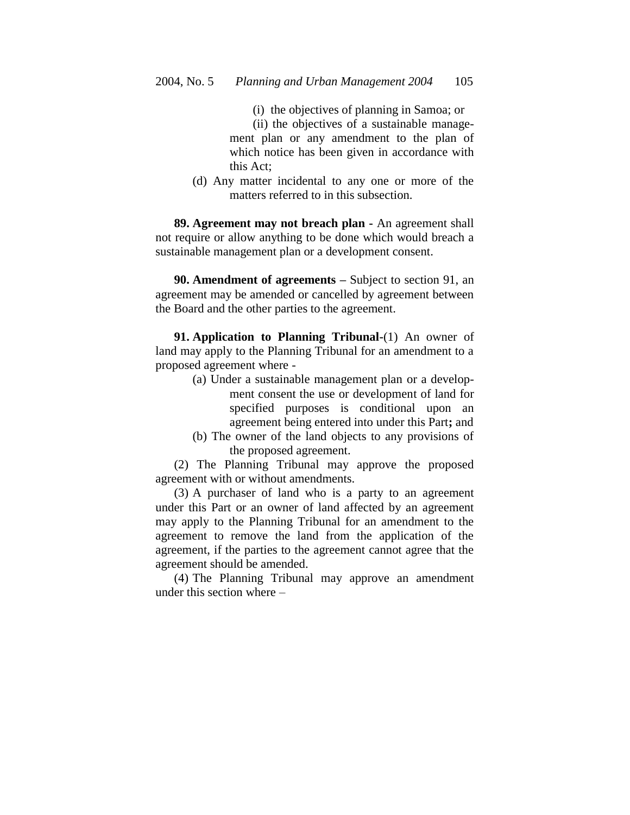(i) the objectives of planning in Samoa; or

(ii) the objectives of a sustainable management plan or any amendment to the plan of which notice has been given in accordance with this Act;

(d) Any matter incidental to any one or more of the matters referred to in this subsection.

**89. Agreement may not breach plan -** An agreement shall not require or allow anything to be done which would breach a sustainable management plan or a development consent.

**90. Amendment of agreements –** Subject to section 91, an agreement may be amended or cancelled by agreement between the Board and the other parties to the agreement.

**91. Application to Planning Tribunal-**(1) An owner of land may apply to the Planning Tribunal for an amendment to a proposed agreement where -

- (a) Under a sustainable management plan or a development consent the use or development of land for specified purposes is conditional upon an agreement being entered into under this Part**;** and
- (b) The owner of the land objects to any provisions of the proposed agreement.

(2) The Planning Tribunal may approve the proposed agreement with or without amendments.

(3) A purchaser of land who is a party to an agreement under this Part or an owner of land affected by an agreement may apply to the Planning Tribunal for an amendment to the agreement to remove the land from the application of the agreement, if the parties to the agreement cannot agree that the agreement should be amended.

(4) The Planning Tribunal may approve an amendment under this section where –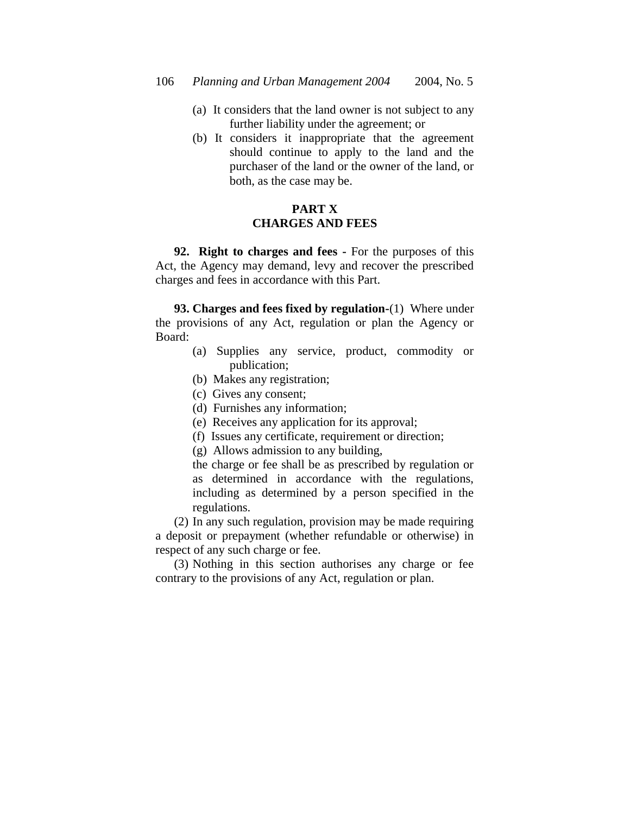- (a) It considers that the land owner is not subject to any further liability under the agreement; or
- (b) It considers it inappropriate that the agreement should continue to apply to the land and the purchaser of the land or the owner of the land, or both, as the case may be.

# **PART X CHARGES AND FEES**

**92. Right to charges and fees -** For the purposes of this Act, the Agency may demand, levy and recover the prescribed charges and fees in accordance with this Part.

**93. Charges and fees fixed by regulation-**(1)Where under the provisions of any Act, regulation or plan the Agency or Board:

- (a) Supplies any service, product, commodity or publication;
- (b) Makes any registration;
- (c) Gives any consent;
- (d) Furnishes any information;
- (e) Receives any application for its approval;
- (f) Issues any certificate, requirement or direction;
- (g) Allows admission to any building,

the charge or fee shall be as prescribed by regulation or as determined in accordance with the regulations, including as determined by a person specified in the regulations.

(2) In any such regulation, provision may be made requiring a deposit or prepayment (whether refundable or otherwise) in respect of any such charge or fee.

(3) Nothing in this section authorises any charge or fee contrary to the provisions of any Act, regulation or plan.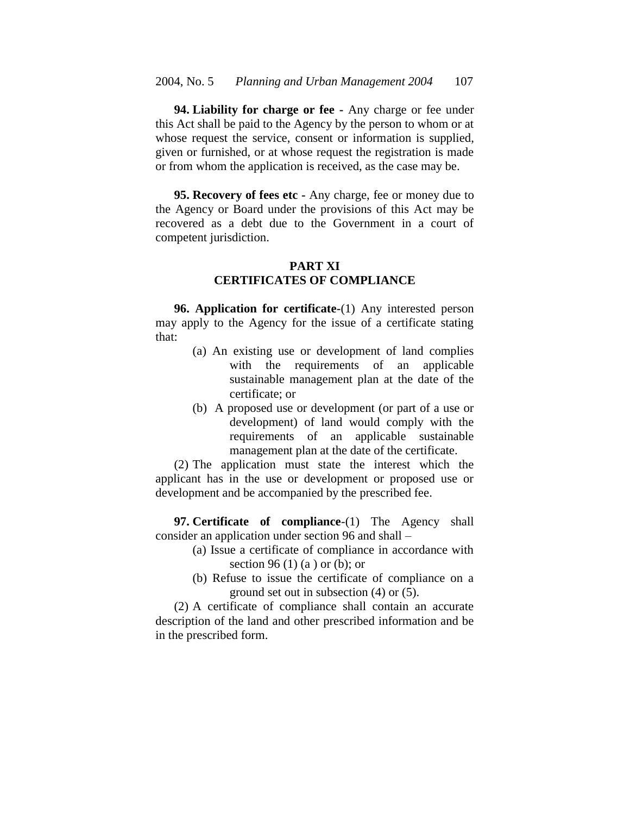**94. Liability for charge or fee -** Any charge or fee under this Act shall be paid to the Agency by the person to whom or at whose request the service, consent or information is supplied, given or furnished, or at whose request the registration is made or from whom the application is received, as the case may be.

**95. Recovery of fees etc -** Any charge, fee or money due to the Agency or Board under the provisions of this Act may be recovered as a debt due to the Government in a court of competent jurisdiction.

# **PART XI CERTIFICATES OF COMPLIANCE**

**96. Application for certificate-**(1) Any interested person may apply to the Agency for the issue of a certificate stating that:

- (a) An existing use or development of land complies with the requirements of an applicable sustainable management plan at the date of the certificate; or
- (b) A proposed use or development (or part of a use or development) of land would comply with the requirements of an applicable sustainable management plan at the date of the certificate.

(2) The application must state the interest which the applicant has in the use or development or proposed use or development and be accompanied by the prescribed fee.

**97. Certificate of compliance**-(1) The Agency shall consider an application under section 96 and shall –

- (a) Issue a certificate of compliance in accordance with section 96 $(1)$  $(a)$  or  $(b)$ ; or
- (b) Refuse to issue the certificate of compliance on a ground set out in subsection (4) or (5).

(2) A certificate of compliance shall contain an accurate description of the land and other prescribed information and be in the prescribed form.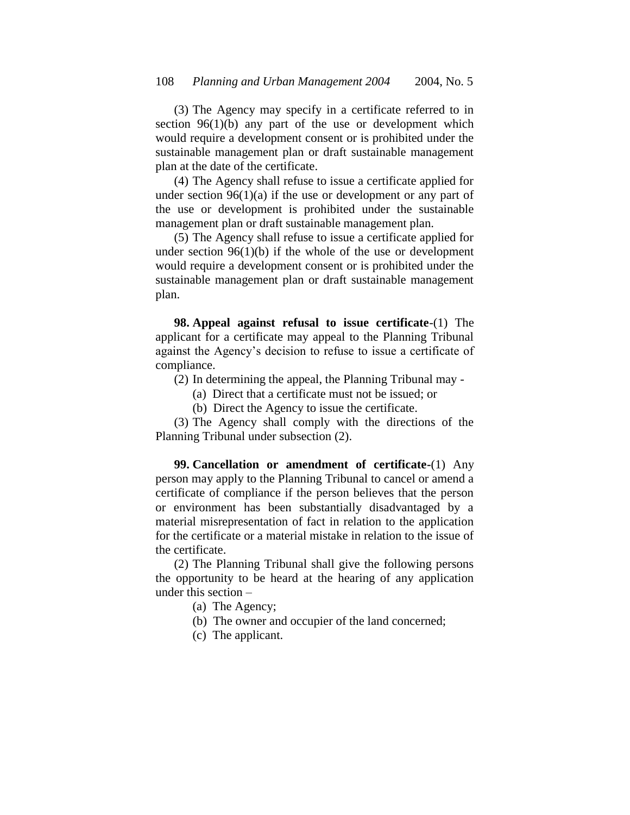(3) The Agency may specify in a certificate referred to in section 96(1)(b) any part of the use or development which would require a development consent or is prohibited under the sustainable management plan or draft sustainable management plan at the date of the certificate.

(4) The Agency shall refuse to issue a certificate applied for under section  $96(1)(a)$  if the use or development or any part of the use or development is prohibited under the sustainable management plan or draft sustainable management plan.

(5) The Agency shall refuse to issue a certificate applied for under section  $96(1)(b)$  if the whole of the use or development would require a development consent or is prohibited under the sustainable management plan or draft sustainable management plan.

**98. Appeal against refusal to issue certificate**-(1) The applicant for a certificate may appeal to the Planning Tribunal against the Agency's decision to refuse to issue a certificate of compliance.

(2) In determining the appeal, the Planning Tribunal may -

(a) Direct that a certificate must not be issued; or

(b) Direct the Agency to issue the certificate.

(3) The Agency shall comply with the directions of the Planning Tribunal under subsection (2).

**99. Cancellation or amendment of certificate-**(1) Any person may apply to the Planning Tribunal to cancel or amend a certificate of compliance if the person believes that the person or environment has been substantially disadvantaged by a material misrepresentation of fact in relation to the application for the certificate or a material mistake in relation to the issue of the certificate.

(2) The Planning Tribunal shall give the following persons the opportunity to be heard at the hearing of any application under this section –

(a) The Agency;

- (b) The owner and occupier of the land concerned;
- (c) The applicant.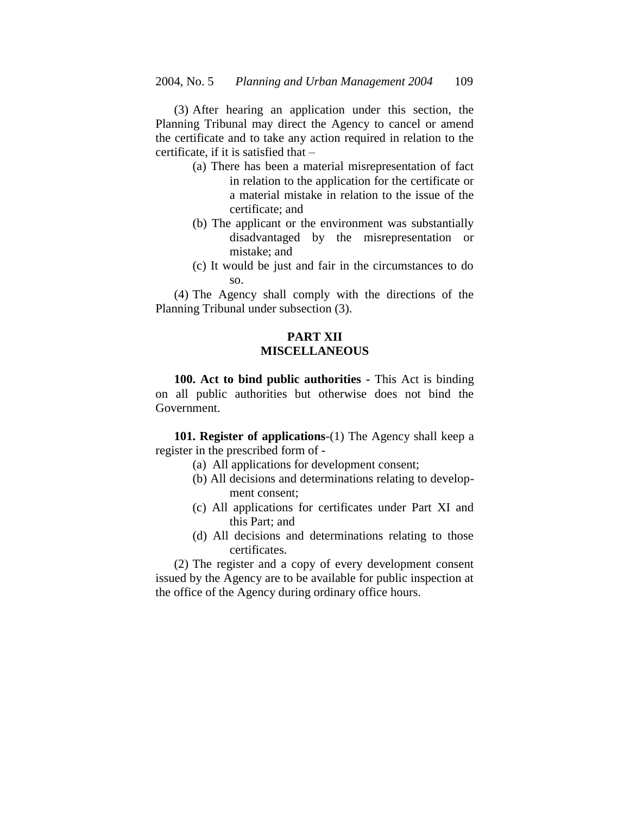(3) After hearing an application under this section, the Planning Tribunal may direct the Agency to cancel or amend the certificate and to take any action required in relation to the certificate, if it is satisfied that –

- (a) There has been a material misrepresentation of fact in relation to the application for the certificate or a material mistake in relation to the issue of the certificate; and
- (b) The applicant or the environment was substantially disadvantaged by the misrepresentation or mistake; and
- (c) It would be just and fair in the circumstances to do so.

(4) The Agency shall comply with the directions of the Planning Tribunal under subsection (3).

# **PART XII MISCELLANEOUS**

**100. Act to bind public authorities -** This Act is binding on all public authorities but otherwise does not bind the Government.

**101. Register of applications**-(1) The Agency shall keep a register in the prescribed form of -

- (a) All applications for development consent;
- (b) All decisions and determinations relating to development consent;
- (c) All applications for certificates under Part XI and this Part; and
- (d) All decisions and determinations relating to those certificates.

(2) The register and a copy of every development consent issued by the Agency are to be available for public inspection at the office of the Agency during ordinary office hours.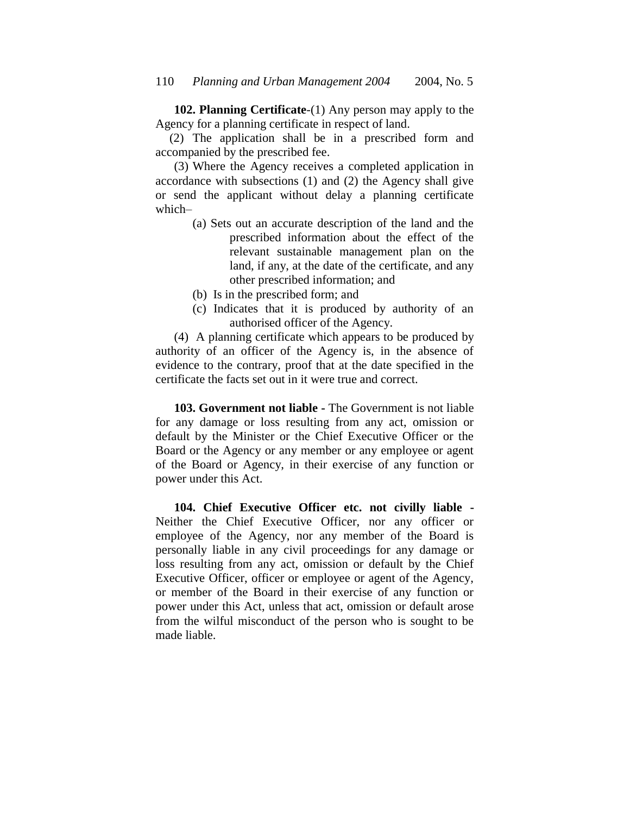**102. Planning Certificate**-(1) Any person may apply to the Agency for a planning certificate in respect of land.

(2) The application shall be in a prescribed form and accompanied by the prescribed fee.

(3) Where the Agency receives a completed application in accordance with subsections (1) and (2) the Agency shall give or send the applicant without delay a planning certificate which–

- (a) Sets out an accurate description of the land and the prescribed information about the effect of the relevant sustainable management plan on the land, if any, at the date of the certificate, and any other prescribed information; and
- (b) Is in the prescribed form; and
- (c) Indicates that it is produced by authority of an authorised officer of the Agency.

(4) A planning certificate which appears to be produced by authority of an officer of the Agency is, in the absence of evidence to the contrary, proof that at the date specified in the certificate the facts set out in it were true and correct.

**103. Government not liable -** The Government is not liable for any damage or loss resulting from any act, omission or default by the Minister or the Chief Executive Officer or the Board or the Agency or any member or any employee or agent of the Board or Agency, in their exercise of any function or power under this Act.

**104. Chief Executive Officer etc. not civilly liable -** Neither the Chief Executive Officer, nor any officer or employee of the Agency, nor any member of the Board is personally liable in any civil proceedings for any damage or loss resulting from any act, omission or default by the Chief Executive Officer, officer or employee or agent of the Agency, or member of the Board in their exercise of any function or power under this Act, unless that act, omission or default arose from the wilful misconduct of the person who is sought to be made liable.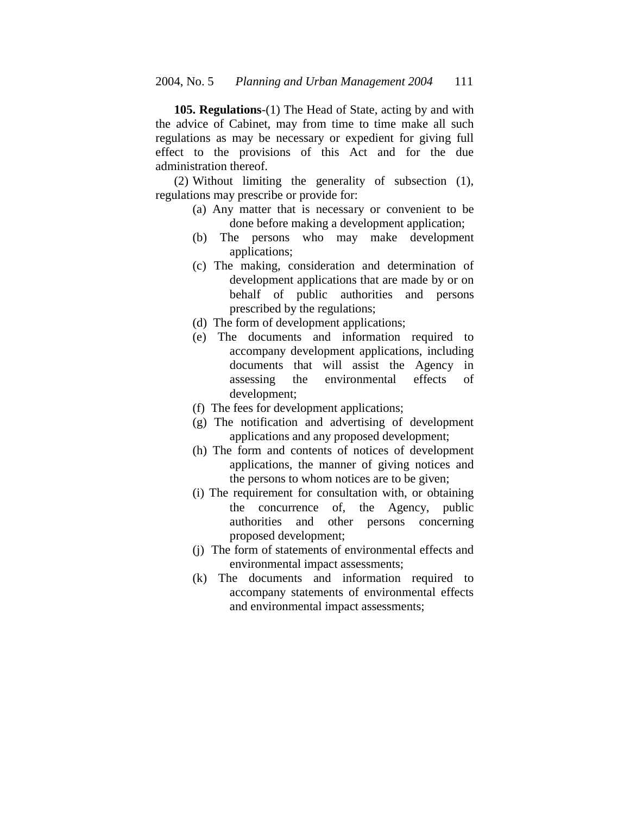**105. Regulations**-(1) The Head of State, acting by and with the advice of Cabinet, may from time to time make all such regulations as may be necessary or expedient for giving full effect to the provisions of this Act and for the due administration thereof.

(2) Without limiting the generality of subsection (1), regulations may prescribe or provide for:

- (a) Any matter that is necessary or convenient to be done before making a development application;
- (b) The persons who may make development applications;
- (c) The making, consideration and determination of development applications that are made by or on behalf of public authorities and persons prescribed by the regulations;
- (d) The form of development applications;
- (e) The documents and information required to accompany development applications, including documents that will assist the Agency in assessing the environmental effects of development;
- (f) The fees for development applications;
- (g) The notification and advertising of development applications and any proposed development;
- (h) The form and contents of notices of development applications, the manner of giving notices and the persons to whom notices are to be given;
- (i) The requirement for consultation with, or obtaining the concurrence of, the Agency, public authorities and other persons concerning proposed development;
- (j) The form of statements of environmental effects and environmental impact assessments;
- (k) The documents and information required to accompany statements of environmental effects and environmental impact assessments;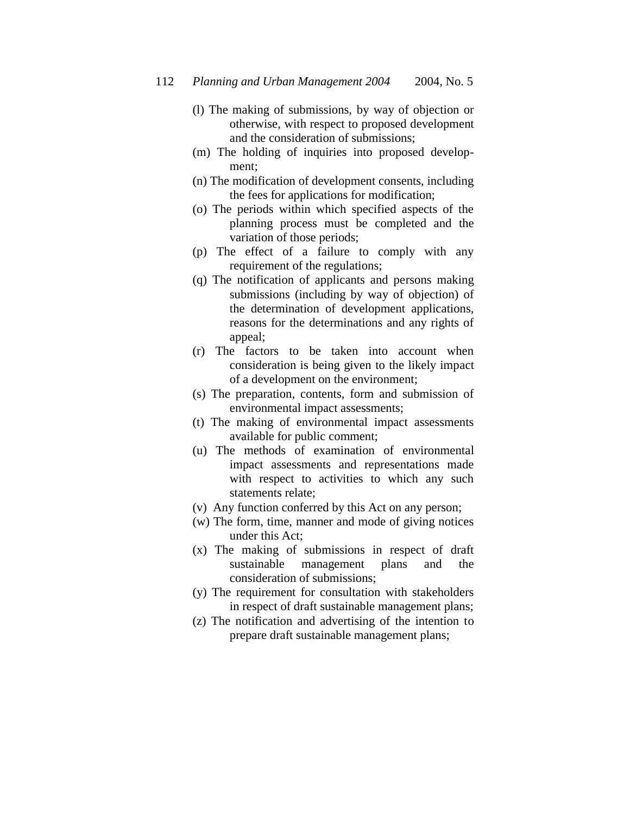- (l) The making of submissions, by way of objection or otherwise, with respect to proposed development and the consideration of submissions;
- (m) The holding of inquiries into proposed development;
- (n) The modification of development consents, including the fees for applications for modification;
- (o) The periods within which specified aspects of the planning process must be completed and the variation of those periods;
- (p) The effect of a failure to comply with any requirement of the regulations;
- (q) The notification of applicants and persons making submissions (including by way of objection) of the determination of development applications, reasons for the determinations and any rights of appeal;
- (r) The factors to be taken into account when consideration is being given to the likely impact of a development on the environment;
- (s) The preparation, contents, form and submission of environmental impact assessments;
- (t) The making of environmental impact assessments available for public comment;
- (u) The methods of examination of environmental impact assessments and representations made with respect to activities to which any such statements relate;
- (v) Any function conferred by this Act on any person;
- (w) The form, time, manner and mode of giving notices under this Act;
- (x) The making of submissions in respect of draft sustainable management plans and the consideration of submissions;
- (y) The requirement for consultation with stakeholders in respect of draft sustainable management plans;
- (z) The notification and advertising of the intention to prepare draft sustainable management plans;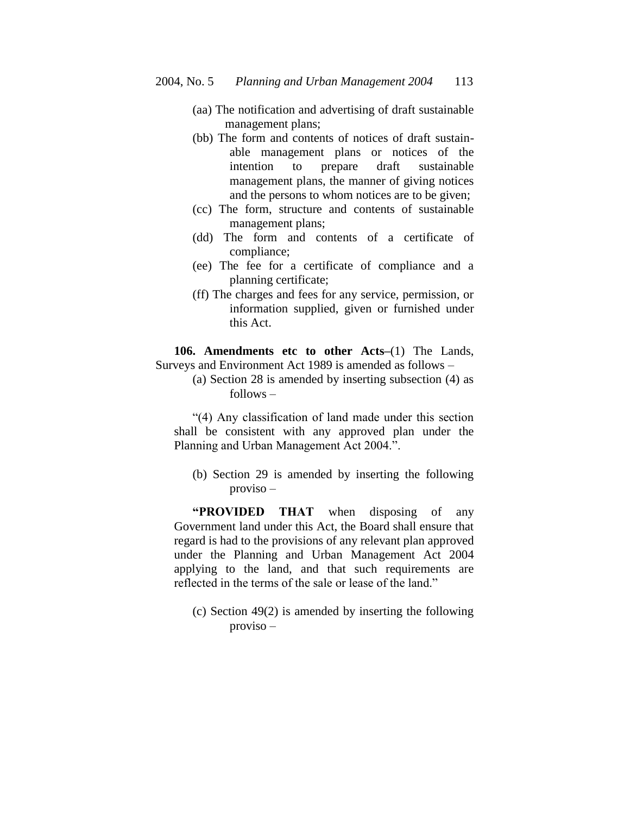- (aa) The notification and advertising of draft sustainable management plans;
- (bb) The form and contents of notices of draft sustainable management plans or notices of the intention to prepare draft sustainable management plans, the manner of giving notices and the persons to whom notices are to be given;
- (cc) The form, structure and contents of sustainable management plans;
- (dd) The form and contents of a certificate of compliance;
- (ee) The fee for a certificate of compliance and a planning certificate;
- (ff) The charges and fees for any service, permission, or information supplied, given or furnished under this Act.

**106. Amendments etc to other Acts–**(1) The Lands, Surveys and Environment Act 1989 is amended as follows –

> (a) Section 28 is amended by inserting subsection (4) as follows –

"(4) Any classification of land made under this section shall be consistent with any approved plan under the Planning and Urban Management Act 2004.".

(b) Section 29 is amended by inserting the following proviso –

**"PROVIDED THAT** when disposing of any Government land under this Act, the Board shall ensure that regard is had to the provisions of any relevant plan approved under the Planning and Urban Management Act 2004 applying to the land, and that such requirements are reflected in the terms of the sale or lease of the land."

(c) Section 49(2) is amended by inserting the following proviso –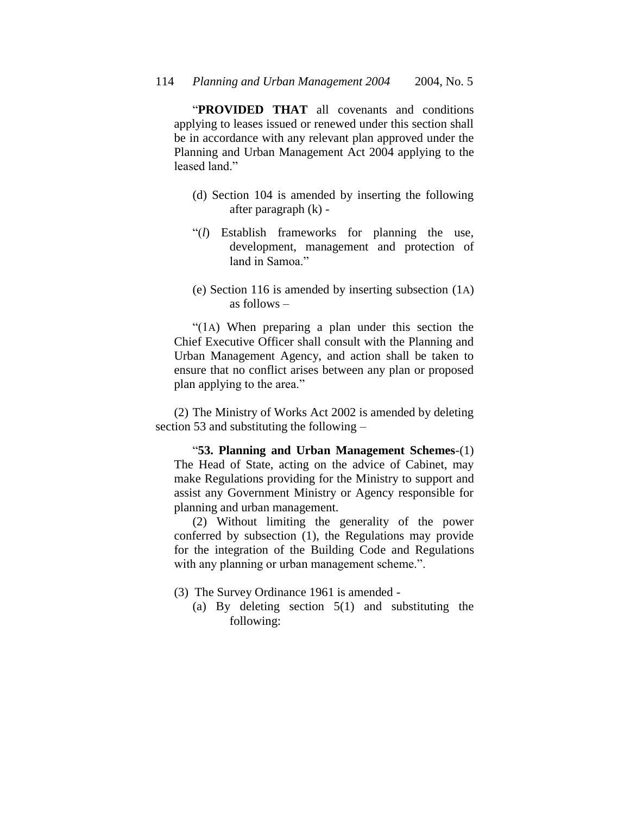"**PROVIDED THAT** all covenants and conditions applying to leases issued or renewed under this section shall be in accordance with any relevant plan approved under the Planning and Urban Management Act 2004 applying to the leased land."

- (d) Section 104 is amended by inserting the following after paragraph (k) -
- "(*l*) Establish frameworks for planning the use, development, management and protection of land in Samoa."
- (e) Section 116 is amended by inserting subsection (1A) as follows –

"(1A) When preparing a plan under this section the Chief Executive Officer shall consult with the Planning and Urban Management Agency, and action shall be taken to ensure that no conflict arises between any plan or proposed plan applying to the area."

(2) The Ministry of Works Act 2002 is amended by deleting section 53 and substituting the following –

"**53. Planning and Urban Management Schemes**-(1) The Head of State, acting on the advice of Cabinet, may make Regulations providing for the Ministry to support and assist any Government Ministry or Agency responsible for planning and urban management.

(2) Without limiting the generality of the power conferred by subsection (1), the Regulations may provide for the integration of the Building Code and Regulations with any planning or urban management scheme.".

- (3) The Survey Ordinance 1961 is amended
	- (a) By deleting section 5(1) and substituting the following: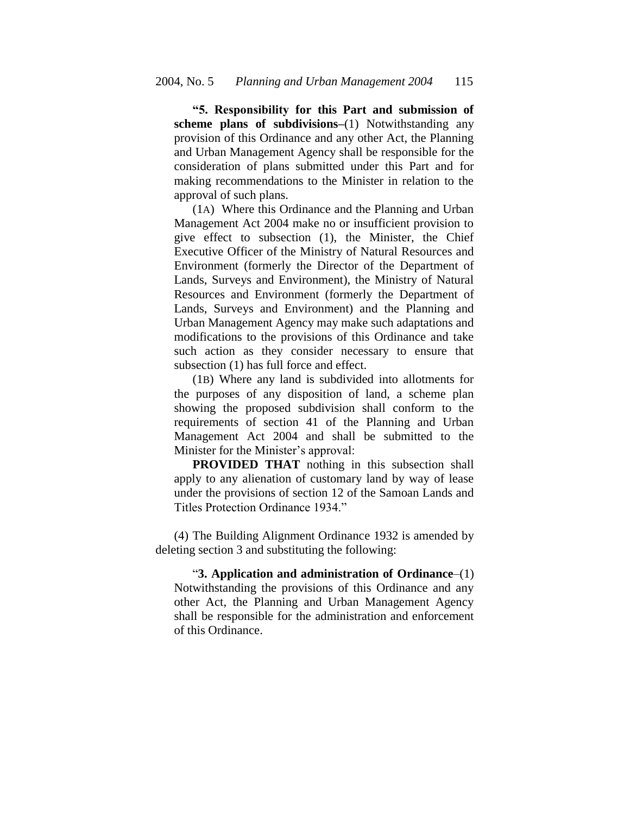**"5. Responsibility for this Part and submission of scheme plans of subdivisions–**(1) Notwithstanding any provision of this Ordinance and any other Act, the Planning and Urban Management Agency shall be responsible for the consideration of plans submitted under this Part and for making recommendations to the Minister in relation to the approval of such plans.

(1A) Where this Ordinance and the Planning and Urban Management Act 2004 make no or insufficient provision to give effect to subsection (1), the Minister, the Chief Executive Officer of the Ministry of Natural Resources and Environment (formerly the Director of the Department of Lands, Surveys and Environment), the Ministry of Natural Resources and Environment (formerly the Department of Lands, Surveys and Environment) and the Planning and Urban Management Agency may make such adaptations and modifications to the provisions of this Ordinance and take such action as they consider necessary to ensure that subsection (1) has full force and effect.

(1B) Where any land is subdivided into allotments for the purposes of any disposition of land, a scheme plan showing the proposed subdivision shall conform to the requirements of section 41 of the Planning and Urban Management Act 2004 and shall be submitted to the Minister for the Minister's approval:

**PROVIDED THAT** nothing in this subsection shall apply to any alienation of customary land by way of lease under the provisions of section 12 of the Samoan Lands and Titles Protection Ordinance 1934."

(4) The Building Alignment Ordinance 1932 is amended by deleting section 3 and substituting the following:

"**3. Application and administration of Ordinance**–(1) Notwithstanding the provisions of this Ordinance and any other Act, the Planning and Urban Management Agency shall be responsible for the administration and enforcement of this Ordinance.